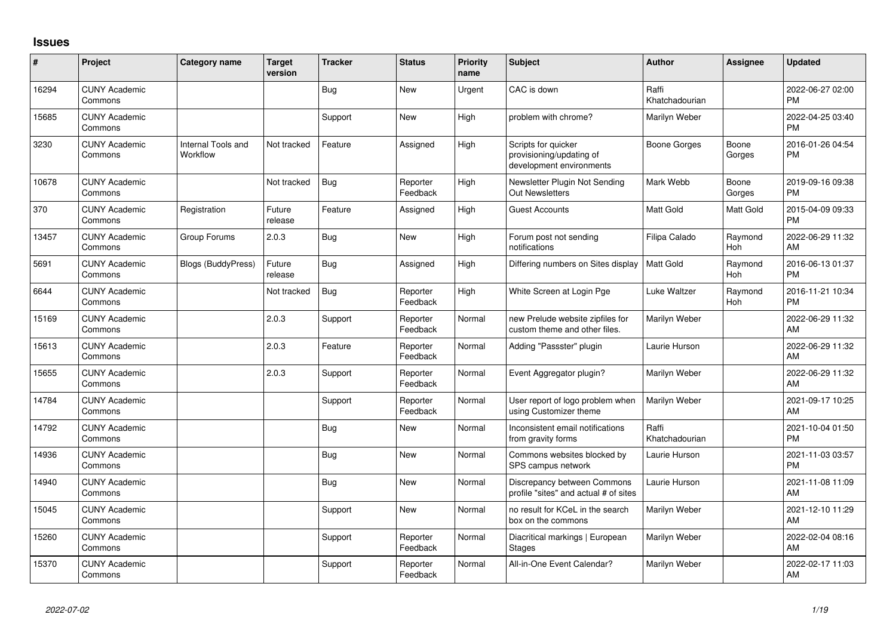## **Issues**

| ∦     | Project                         | Category name                  | Target<br>version | <b>Tracker</b> | <b>Status</b>        | <b>Priority</b><br>name | <b>Subject</b>                                                              | <b>Author</b>           | <b>Assignee</b> | <b>Updated</b>                |
|-------|---------------------------------|--------------------------------|-------------------|----------------|----------------------|-------------------------|-----------------------------------------------------------------------------|-------------------------|-----------------|-------------------------------|
| 16294 | <b>CUNY Academic</b><br>Commons |                                |                   | <b>Bug</b>     | <b>New</b>           | Urgent                  | CAC is down                                                                 | Raffi<br>Khatchadourian |                 | 2022-06-27 02:00<br><b>PM</b> |
| 15685 | <b>CUNY Academic</b><br>Commons |                                |                   | Support        | <b>New</b>           | High                    | problem with chrome?                                                        | Marilyn Weber           |                 | 2022-04-25 03:40<br><b>PM</b> |
| 3230  | <b>CUNY Academic</b><br>Commons | Internal Tools and<br>Workflow | Not tracked       | Feature        | Assigned             | High                    | Scripts for quicker<br>provisioning/updating of<br>development environments | Boone Gorges            | Boone<br>Gorges | 2016-01-26 04:54<br><b>PM</b> |
| 10678 | <b>CUNY Academic</b><br>Commons |                                | Not tracked       | <b>Bug</b>     | Reporter<br>Feedback | High                    | Newsletter Plugin Not Sending<br>Out Newsletters                            | Mark Webb               | Boone<br>Gorges | 2019-09-16 09:38<br><b>PM</b> |
| 370   | <b>CUNY Academic</b><br>Commons | Registration                   | Future<br>release | Feature        | Assigned             | High                    | <b>Guest Accounts</b>                                                       | <b>Matt Gold</b>        | Matt Gold       | 2015-04-09 09:33<br><b>PM</b> |
| 13457 | <b>CUNY Academic</b><br>Commons | Group Forums                   | 2.0.3             | Bug            | New                  | High                    | Forum post not sending<br>notifications                                     | Filipa Calado           | Raymond<br>Hoh  | 2022-06-29 11:32<br>AM        |
| 5691  | <b>CUNY Academic</b><br>Commons | <b>Blogs (BuddyPress)</b>      | Future<br>release | <b>Bug</b>     | Assigned             | High                    | Differing numbers on Sites display                                          | <b>Matt Gold</b>        | Raymond<br>Hoh  | 2016-06-13 01:37<br><b>PM</b> |
| 6644  | <b>CUNY Academic</b><br>Commons |                                | Not tracked       | <b>Bug</b>     | Reporter<br>Feedback | High                    | White Screen at Login Pge                                                   | Luke Waltzer            | Raymond<br>Hoh  | 2016-11-21 10:34<br><b>PM</b> |
| 15169 | <b>CUNY Academic</b><br>Commons |                                | 2.0.3             | Support        | Reporter<br>Feedback | Normal                  | new Prelude website zipfiles for<br>custom theme and other files.           | Marilyn Weber           |                 | 2022-06-29 11:32<br>AM        |
| 15613 | <b>CUNY Academic</b><br>Commons |                                | 2.0.3             | Feature        | Reporter<br>Feedback | Normal                  | Adding "Passster" plugin                                                    | Laurie Hurson           |                 | 2022-06-29 11:32<br>AM        |
| 15655 | <b>CUNY Academic</b><br>Commons |                                | 2.0.3             | Support        | Reporter<br>Feedback | Normal                  | Event Aggregator plugin?                                                    | Marilyn Weber           |                 | 2022-06-29 11:32<br>AM        |
| 14784 | <b>CUNY Academic</b><br>Commons |                                |                   | Support        | Reporter<br>Feedback | Normal                  | User report of logo problem when<br>using Customizer theme                  | Marilyn Weber           |                 | 2021-09-17 10:25<br>AM        |
| 14792 | <b>CUNY Academic</b><br>Commons |                                |                   | Bug            | <b>New</b>           | Normal                  | Inconsistent email notifications<br>from gravity forms                      | Raffi<br>Khatchadourian |                 | 2021-10-04 01:50<br><b>PM</b> |
| 14936 | <b>CUNY Academic</b><br>Commons |                                |                   | <b>Bug</b>     | <b>New</b>           | Normal                  | Commons websites blocked by<br>SPS campus network                           | Laurie Hurson           |                 | 2021-11-03 03:57<br><b>PM</b> |
| 14940 | <b>CUNY Academic</b><br>Commons |                                |                   | Bug            | <b>New</b>           | Normal                  | Discrepancy between Commons<br>profile "sites" and actual # of sites        | Laurie Hurson           |                 | 2021-11-08 11:09<br>AM        |
| 15045 | <b>CUNY Academic</b><br>Commons |                                |                   | Support        | <b>New</b>           | Normal                  | no result for KCeL in the search<br>box on the commons                      | Marilyn Weber           |                 | 2021-12-10 11:29<br>AM        |
| 15260 | <b>CUNY Academic</b><br>Commons |                                |                   | Support        | Reporter<br>Feedback | Normal                  | Diacritical markings   European<br>Stages                                   | Marilyn Weber           |                 | 2022-02-04 08:16<br>AM        |
| 15370 | <b>CUNY Academic</b><br>Commons |                                |                   | Support        | Reporter<br>Feedback | Normal                  | All-in-One Event Calendar?                                                  | Marilyn Weber           |                 | 2022-02-17 11:03<br>AM        |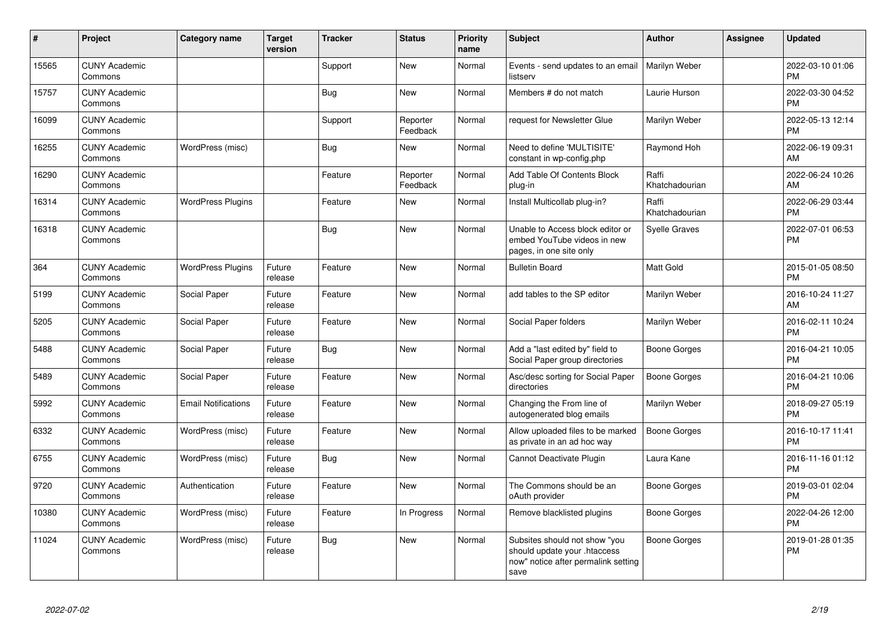| #     | Project                         | <b>Category name</b>       | <b>Target</b><br>version | <b>Tracker</b> | <b>Status</b>        | Priority<br>name | <b>Subject</b>                                                                                               | <b>Author</b>           | Assignee | <b>Updated</b>                |
|-------|---------------------------------|----------------------------|--------------------------|----------------|----------------------|------------------|--------------------------------------------------------------------------------------------------------------|-------------------------|----------|-------------------------------|
| 15565 | <b>CUNY Academic</b><br>Commons |                            |                          | Support        | New                  | Normal           | Events - send updates to an email<br>listserv                                                                | Marilyn Weber           |          | 2022-03-10 01:06<br><b>PM</b> |
| 15757 | <b>CUNY Academic</b><br>Commons |                            |                          | Bug            | New                  | Normal           | Members # do not match                                                                                       | Laurie Hurson           |          | 2022-03-30 04:52<br><b>PM</b> |
| 16099 | <b>CUNY Academic</b><br>Commons |                            |                          | Support        | Reporter<br>Feedback | Normal           | request for Newsletter Glue                                                                                  | Marilyn Weber           |          | 2022-05-13 12:14<br><b>PM</b> |
| 16255 | <b>CUNY Academic</b><br>Commons | WordPress (misc)           |                          | Bug            | New                  | Normal           | Need to define 'MULTISITE'<br>constant in wp-config.php                                                      | Raymond Hoh             |          | 2022-06-19 09:31<br>AM        |
| 16290 | <b>CUNY Academic</b><br>Commons |                            |                          | Feature        | Reporter<br>Feedback | Normal           | Add Table Of Contents Block<br>plug-in                                                                       | Raffi<br>Khatchadourian |          | 2022-06-24 10:26<br>AM        |
| 16314 | <b>CUNY Academic</b><br>Commons | <b>WordPress Plugins</b>   |                          | Feature        | <b>New</b>           | Normal           | Install Multicollab plug-in?                                                                                 | Raffi<br>Khatchadourian |          | 2022-06-29 03:44<br><b>PM</b> |
| 16318 | <b>CUNY Academic</b><br>Commons |                            |                          | Bug            | <b>New</b>           | Normal           | Unable to Access block editor or<br>embed YouTube videos in new<br>pages, in one site only                   | <b>Syelle Graves</b>    |          | 2022-07-01 06:53<br><b>PM</b> |
| 364   | <b>CUNY Academic</b><br>Commons | <b>WordPress Plugins</b>   | Future<br>release        | Feature        | New                  | Normal           | <b>Bulletin Board</b>                                                                                        | <b>Matt Gold</b>        |          | 2015-01-05 08:50<br><b>PM</b> |
| 5199  | <b>CUNY Academic</b><br>Commons | Social Paper               | Future<br>release        | Feature        | <b>New</b>           | Normal           | add tables to the SP editor                                                                                  | Marilyn Weber           |          | 2016-10-24 11:27<br>AM        |
| 5205  | <b>CUNY Academic</b><br>Commons | Social Paper               | Future<br>release        | Feature        | <b>New</b>           | Normal           | Social Paper folders                                                                                         | Marilyn Weber           |          | 2016-02-11 10:24<br><b>PM</b> |
| 5488  | <b>CUNY Academic</b><br>Commons | Social Paper               | Future<br>release        | Bug            | New                  | Normal           | Add a "last edited by" field to<br>Social Paper group directories                                            | Boone Gorges            |          | 2016-04-21 10:05<br><b>PM</b> |
| 5489  | <b>CUNY Academic</b><br>Commons | Social Paper               | Future<br>release        | Feature        | <b>New</b>           | Normal           | Asc/desc sorting for Social Paper<br>directories                                                             | Boone Gorges            |          | 2016-04-21 10:06<br><b>PM</b> |
| 5992  | <b>CUNY Academic</b><br>Commons | <b>Email Notifications</b> | Future<br>release        | Feature        | <b>New</b>           | Normal           | Changing the From line of<br>autogenerated blog emails                                                       | Marilyn Weber           |          | 2018-09-27 05:19<br><b>PM</b> |
| 6332  | <b>CUNY Academic</b><br>Commons | WordPress (misc)           | Future<br>release        | Feature        | New                  | Normal           | Allow uploaded files to be marked<br>as private in an ad hoc way                                             | <b>Boone Gorges</b>     |          | 2016-10-17 11:41<br><b>PM</b> |
| 6755  | <b>CUNY Academic</b><br>Commons | WordPress (misc)           | Future<br>release        | <b>Bug</b>     | <b>New</b>           | Normal           | Cannot Deactivate Plugin                                                                                     | Laura Kane              |          | 2016-11-16 01:12<br><b>PM</b> |
| 9720  | <b>CUNY Academic</b><br>Commons | Authentication             | Future<br>release        | Feature        | <b>New</b>           | Normal           | The Commons should be an<br>oAuth provider                                                                   | Boone Gorges            |          | 2019-03-01 02:04<br><b>PM</b> |
| 10380 | <b>CUNY Academic</b><br>Commons | WordPress (misc)           | Future<br>release        | Feature        | In Progress          | Normal           | Remove blacklisted plugins                                                                                   | Boone Gorges            |          | 2022-04-26 12:00<br><b>PM</b> |
| 11024 | <b>CUNY Academic</b><br>Commons | WordPress (misc)           | Future<br>release        | <b>Bug</b>     | New                  | Normal           | Subsites should not show "you<br>should update your .htaccess<br>now" notice after permalink setting<br>save | <b>Boone Gorges</b>     |          | 2019-01-28 01:35<br><b>PM</b> |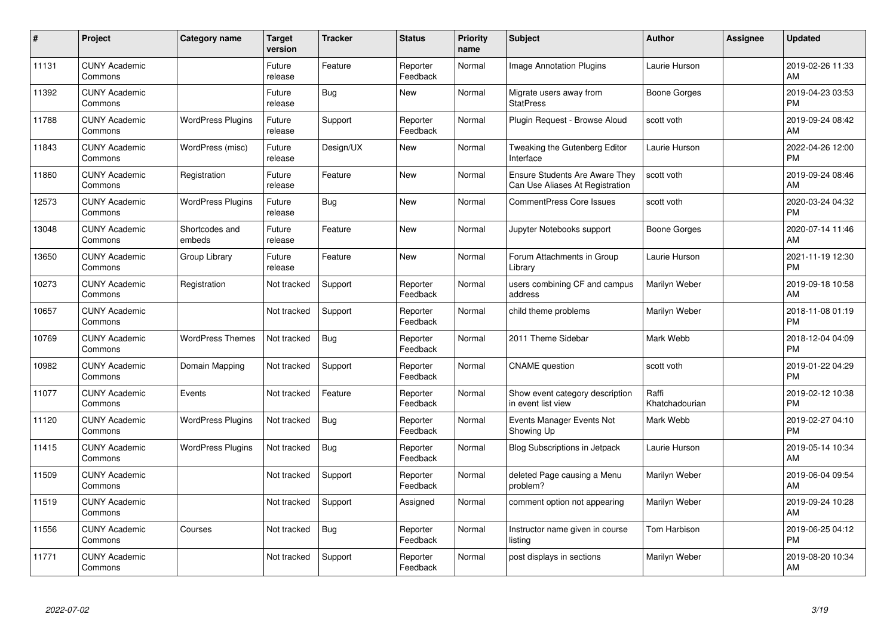| #     | Project                         | <b>Category name</b>     | <b>Target</b><br>version | <b>Tracker</b> | <b>Status</b>        | <b>Priority</b><br>name | <b>Subject</b>                                                    | <b>Author</b>           | Assignee | <b>Updated</b>                |
|-------|---------------------------------|--------------------------|--------------------------|----------------|----------------------|-------------------------|-------------------------------------------------------------------|-------------------------|----------|-------------------------------|
| 11131 | <b>CUNY Academic</b><br>Commons |                          | Future<br>release        | Feature        | Reporter<br>Feedback | Normal                  | <b>Image Annotation Plugins</b>                                   | Laurie Hurson           |          | 2019-02-26 11:33<br>AM        |
| 11392 | <b>CUNY Academic</b><br>Commons |                          | Future<br>release        | Bug            | <b>New</b>           | Normal                  | Migrate users away from<br><b>StatPress</b>                       | <b>Boone Gorges</b>     |          | 2019-04-23 03:53<br><b>PM</b> |
| 11788 | <b>CUNY Academic</b><br>Commons | <b>WordPress Plugins</b> | Future<br>release        | Support        | Reporter<br>Feedback | Normal                  | Plugin Request - Browse Aloud                                     | scott voth              |          | 2019-09-24 08:42<br>AM        |
| 11843 | <b>CUNY Academic</b><br>Commons | WordPress (misc)         | Future<br>release        | Design/UX      | <b>New</b>           | Normal                  | Tweaking the Gutenberg Editor<br>Interface                        | Laurie Hurson           |          | 2022-04-26 12:00<br><b>PM</b> |
| 11860 | <b>CUNY Academic</b><br>Commons | Registration             | Future<br>release        | Feature        | New                  | Normal                  | Ensure Students Are Aware They<br>Can Use Aliases At Registration | scott voth              |          | 2019-09-24 08:46<br>AM        |
| 12573 | <b>CUNY Academic</b><br>Commons | <b>WordPress Plugins</b> | Future<br>release        | <b>Bug</b>     | <b>New</b>           | Normal                  | <b>CommentPress Core Issues</b>                                   | scott voth              |          | 2020-03-24 04:32<br><b>PM</b> |
| 13048 | <b>CUNY Academic</b><br>Commons | Shortcodes and<br>embeds | Future<br>release        | Feature        | New                  | Normal                  | Jupyter Notebooks support                                         | Boone Gorges            |          | 2020-07-14 11:46<br>AM        |
| 13650 | <b>CUNY Academic</b><br>Commons | Group Library            | Future<br>release        | Feature        | New                  | Normal                  | Forum Attachments in Group<br>Library                             | Laurie Hurson           |          | 2021-11-19 12:30<br><b>PM</b> |
| 10273 | <b>CUNY Academic</b><br>Commons | Registration             | Not tracked              | Support        | Reporter<br>Feedback | Normal                  | users combining CF and campus<br>address                          | Marilyn Weber           |          | 2019-09-18 10:58<br>AM        |
| 10657 | <b>CUNY Academic</b><br>Commons |                          | Not tracked              | Support        | Reporter<br>Feedback | Normal                  | child theme problems                                              | Marilyn Weber           |          | 2018-11-08 01:19<br><b>PM</b> |
| 10769 | <b>CUNY Academic</b><br>Commons | <b>WordPress Themes</b>  | Not tracked              | <b>Bug</b>     | Reporter<br>Feedback | Normal                  | 2011 Theme Sidebar                                                | Mark Webb               |          | 2018-12-04 04:09<br><b>PM</b> |
| 10982 | <b>CUNY Academic</b><br>Commons | Domain Mapping           | Not tracked              | Support        | Reporter<br>Feedback | Normal                  | <b>CNAME</b> question                                             | scott voth              |          | 2019-01-22 04:29<br><b>PM</b> |
| 11077 | <b>CUNY Academic</b><br>Commons | Events                   | Not tracked              | Feature        | Reporter<br>Feedback | Normal                  | Show event category description<br>in event list view             | Raffi<br>Khatchadourian |          | 2019-02-12 10:38<br><b>PM</b> |
| 11120 | <b>CUNY Academic</b><br>Commons | <b>WordPress Plugins</b> | Not tracked              | Bug            | Reporter<br>Feedback | Normal                  | Events Manager Events Not<br>Showing Up                           | Mark Webb               |          | 2019-02-27 04:10<br><b>PM</b> |
| 11415 | <b>CUNY Academic</b><br>Commons | <b>WordPress Plugins</b> | Not tracked              | Bug            | Reporter<br>Feedback | Normal                  | Blog Subscriptions in Jetpack                                     | Laurie Hurson           |          | 2019-05-14 10:34<br>AM        |
| 11509 | <b>CUNY Academic</b><br>Commons |                          | Not tracked              | Support        | Reporter<br>Feedback | Normal                  | deleted Page causing a Menu<br>problem?                           | Marilyn Weber           |          | 2019-06-04 09:54<br>AM        |
| 11519 | <b>CUNY Academic</b><br>Commons |                          | Not tracked              | Support        | Assigned             | Normal                  | comment option not appearing                                      | Marilyn Weber           |          | 2019-09-24 10:28<br>AM        |
| 11556 | <b>CUNY Academic</b><br>Commons | Courses                  | Not tracked              | <b>Bug</b>     | Reporter<br>Feedback | Normal                  | Instructor name given in course<br>listing                        | Tom Harbison            |          | 2019-06-25 04:12<br><b>PM</b> |
| 11771 | <b>CUNY Academic</b><br>Commons |                          | Not tracked              | Support        | Reporter<br>Feedback | Normal                  | post displays in sections                                         | Marilyn Weber           |          | 2019-08-20 10:34<br>AM        |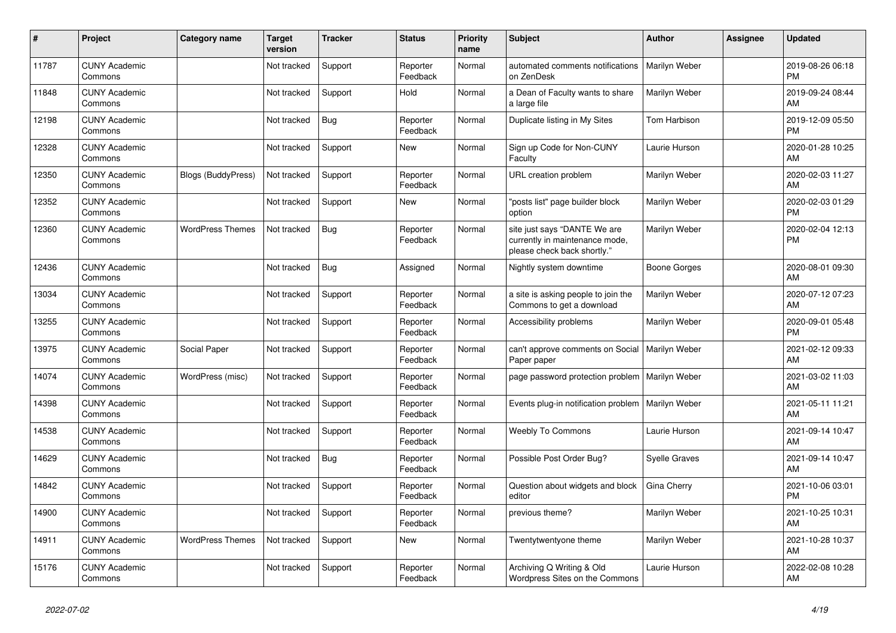| ∦     | Project                         | <b>Category name</b>      | <b>Target</b><br>version | <b>Tracker</b> | <b>Status</b>        | <b>Priority</b><br>name | <b>Subject</b>                                                                                | <b>Author</b>        | <b>Assignee</b> | <b>Updated</b>                |
|-------|---------------------------------|---------------------------|--------------------------|----------------|----------------------|-------------------------|-----------------------------------------------------------------------------------------------|----------------------|-----------------|-------------------------------|
| 11787 | <b>CUNY Academic</b><br>Commons |                           | Not tracked              | Support        | Reporter<br>Feedback | Normal                  | automated comments notifications<br>on ZenDesk                                                | Marilyn Weber        |                 | 2019-08-26 06:18<br><b>PM</b> |
| 11848 | <b>CUNY Academic</b><br>Commons |                           | Not tracked              | Support        | Hold                 | Normal                  | a Dean of Faculty wants to share<br>a large file                                              | Marilyn Weber        |                 | 2019-09-24 08:44<br>AM        |
| 12198 | <b>CUNY Academic</b><br>Commons |                           | Not tracked              | <b>Bug</b>     | Reporter<br>Feedback | Normal                  | Duplicate listing in My Sites                                                                 | Tom Harbison         |                 | 2019-12-09 05:50<br><b>PM</b> |
| 12328 | <b>CUNY Academic</b><br>Commons |                           | Not tracked              | Support        | <b>New</b>           | Normal                  | Sign up Code for Non-CUNY<br>Faculty                                                          | Laurie Hurson        |                 | 2020-01-28 10:25<br>AM        |
| 12350 | <b>CUNY Academic</b><br>Commons | <b>Blogs (BuddyPress)</b> | Not tracked              | Support        | Reporter<br>Feedback | Normal                  | URL creation problem                                                                          | Marilyn Weber        |                 | 2020-02-03 11:27<br><b>AM</b> |
| 12352 | <b>CUNY Academic</b><br>Commons |                           | Not tracked              | Support        | New                  | Normal                  | "posts list" page builder block<br>option                                                     | Marilyn Weber        |                 | 2020-02-03 01:29<br><b>PM</b> |
| 12360 | <b>CUNY Academic</b><br>Commons | <b>WordPress Themes</b>   | Not tracked              | Bug            | Reporter<br>Feedback | Normal                  | site just says "DANTE We are<br>currently in maintenance mode,<br>please check back shortly." | Marilyn Weber        |                 | 2020-02-04 12:13<br>PM        |
| 12436 | <b>CUNY Academic</b><br>Commons |                           | Not tracked              | Bug            | Assigned             | Normal                  | Nightly system downtime                                                                       | <b>Boone Gorges</b>  |                 | 2020-08-01 09:30<br><b>AM</b> |
| 13034 | <b>CUNY Academic</b><br>Commons |                           | Not tracked              | Support        | Reporter<br>Feedback | Normal                  | a site is asking people to join the<br>Commons to get a download                              | Marilyn Weber        |                 | 2020-07-12 07:23<br><b>AM</b> |
| 13255 | <b>CUNY Academic</b><br>Commons |                           | Not tracked              | Support        | Reporter<br>Feedback | Normal                  | Accessibility problems                                                                        | Marilyn Weber        |                 | 2020-09-01 05:48<br><b>PM</b> |
| 13975 | <b>CUNY Academic</b><br>Commons | Social Paper              | Not tracked              | Support        | Reporter<br>Feedback | Normal                  | can't approve comments on Social<br>Paper paper                                               | Marilyn Weber        |                 | 2021-02-12 09:33<br>AM        |
| 14074 | <b>CUNY Academic</b><br>Commons | WordPress (misc)          | Not tracked              | Support        | Reporter<br>Feedback | Normal                  | page password protection problem   Marilyn Weber                                              |                      |                 | 2021-03-02 11:03<br>AM        |
| 14398 | <b>CUNY Academic</b><br>Commons |                           | Not tracked              | Support        | Reporter<br>Feedback | Normal                  | Events plug-in notification problem                                                           | Marilyn Weber        |                 | 2021-05-11 11:21<br>AM        |
| 14538 | <b>CUNY Academic</b><br>Commons |                           | Not tracked              | Support        | Reporter<br>Feedback | Normal                  | <b>Weebly To Commons</b>                                                                      | Laurie Hurson        |                 | 2021-09-14 10:47<br>AM        |
| 14629 | <b>CUNY Academic</b><br>Commons |                           | Not tracked              | Bug            | Reporter<br>Feedback | Normal                  | Possible Post Order Bug?                                                                      | <b>Syelle Graves</b> |                 | 2021-09-14 10:47<br>AM        |
| 14842 | <b>CUNY Academic</b><br>Commons |                           | Not tracked              | Support        | Reporter<br>Feedback | Normal                  | Question about widgets and block<br>editor                                                    | Gina Cherry          |                 | 2021-10-06 03:01<br><b>PM</b> |
| 14900 | <b>CUNY Academic</b><br>Commons |                           | Not tracked              | Support        | Reporter<br>Feedback | Normal                  | previous theme?                                                                               | Marilyn Weber        |                 | 2021-10-25 10:31<br>AM        |
| 14911 | <b>CUNY Academic</b><br>Commons | <b>WordPress Themes</b>   | Not tracked              | Support        | <b>New</b>           | Normal                  | Twentytwentyone theme                                                                         | Marilyn Weber        |                 | 2021-10-28 10:37<br><b>AM</b> |
| 15176 | <b>CUNY Academic</b><br>Commons |                           | Not tracked              | Support        | Reporter<br>Feedback | Normal                  | Archiving Q Writing & Old<br>Wordpress Sites on the Commons                                   | Laurie Hurson        |                 | 2022-02-08 10:28<br>AM        |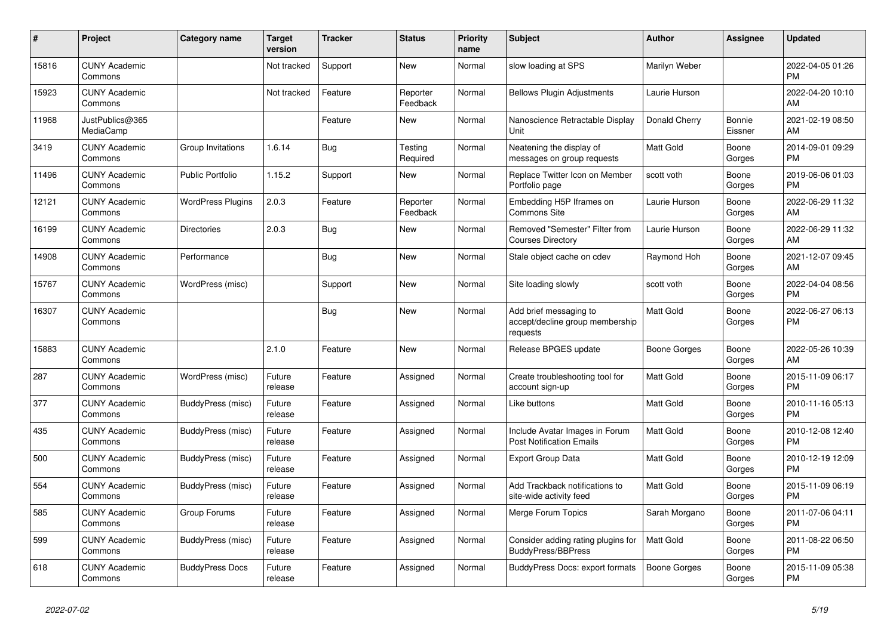| #     | Project                         | <b>Category name</b>     | <b>Target</b><br>version | <b>Tracker</b> | <b>Status</b>        | <b>Priority</b><br>name | <b>Subject</b>                                                        | <b>Author</b>    | <b>Assignee</b>   | <b>Updated</b>                |
|-------|---------------------------------|--------------------------|--------------------------|----------------|----------------------|-------------------------|-----------------------------------------------------------------------|------------------|-------------------|-------------------------------|
| 15816 | <b>CUNY Academic</b><br>Commons |                          | Not tracked              | Support        | <b>New</b>           | Normal                  | slow loading at SPS                                                   | Marilyn Weber    |                   | 2022-04-05 01:26<br><b>PM</b> |
| 15923 | <b>CUNY Academic</b><br>Commons |                          | Not tracked              | Feature        | Reporter<br>Feedback | Normal                  | <b>Bellows Plugin Adjustments</b>                                     | Laurie Hurson    |                   | 2022-04-20 10:10<br>AM        |
| 11968 | JustPublics@365<br>MediaCamp    |                          |                          | Feature        | New                  | Normal                  | Nanoscience Retractable Display<br>Unit                               | Donald Cherry    | Bonnie<br>Eissner | 2021-02-19 08:50<br>AM        |
| 3419  | <b>CUNY Academic</b><br>Commons | Group Invitations        | 1.6.14                   | Bug            | Testing<br>Required  | Normal                  | Neatening the display of<br>messages on group requests                | <b>Matt Gold</b> | Boone<br>Gorges   | 2014-09-01 09:29<br><b>PM</b> |
| 11496 | <b>CUNY Academic</b><br>Commons | <b>Public Portfolio</b>  | 1.15.2                   | Support        | New                  | Normal                  | Replace Twitter Icon on Member<br>Portfolio page                      | scott voth       | Boone<br>Gorges   | 2019-06-06 01:03<br><b>PM</b> |
| 12121 | <b>CUNY Academic</b><br>Commons | <b>WordPress Plugins</b> | 2.0.3                    | Feature        | Reporter<br>Feedback | Normal                  | Embedding H5P Iframes on<br>Commons Site                              | Laurie Hurson    | Boone<br>Gorges   | 2022-06-29 11:32<br>AM        |
| 16199 | <b>CUNY Academic</b><br>Commons | <b>Directories</b>       | 2.0.3                    | <b>Bug</b>     | <b>New</b>           | Normal                  | Removed "Semester" Filter from<br><b>Courses Directory</b>            | Laurie Hurson    | Boone<br>Gorges   | 2022-06-29 11:32<br>AM        |
| 14908 | <b>CUNY Academic</b><br>Commons | Performance              |                          | Bug            | New                  | Normal                  | Stale object cache on cdev                                            | Raymond Hoh      | Boone<br>Gorges   | 2021-12-07 09:45<br>AM        |
| 15767 | <b>CUNY Academic</b><br>Commons | WordPress (misc)         |                          | Support        | <b>New</b>           | Normal                  | Site loading slowly                                                   | scott voth       | Boone<br>Gorges   | 2022-04-04 08:56<br><b>PM</b> |
| 16307 | <b>CUNY Academic</b><br>Commons |                          |                          | <b>Bug</b>     | <b>New</b>           | Normal                  | Add brief messaging to<br>accept/decline group membership<br>requests | <b>Matt Gold</b> | Boone<br>Gorges   | 2022-06-27 06:13<br><b>PM</b> |
| 15883 | <b>CUNY Academic</b><br>Commons |                          | 2.1.0                    | Feature        | New                  | Normal                  | Release BPGES update                                                  | Boone Gorges     | Boone<br>Gorges   | 2022-05-26 10:39<br>AM        |
| 287   | <b>CUNY Academic</b><br>Commons | WordPress (misc)         | Future<br>release        | Feature        | Assigned             | Normal                  | Create troubleshooting tool for<br>account sign-up                    | <b>Matt Gold</b> | Boone<br>Gorges   | 2015-11-09 06:17<br><b>PM</b> |
| 377   | <b>CUNY Academic</b><br>Commons | BuddyPress (misc)        | Future<br>release        | Feature        | Assigned             | Normal                  | Like buttons                                                          | <b>Matt Gold</b> | Boone<br>Gorges   | 2010-11-16 05:13<br><b>PM</b> |
| 435   | <b>CUNY Academic</b><br>Commons | BuddyPress (misc)        | Future<br>release        | Feature        | Assigned             | Normal                  | Include Avatar Images in Forum<br><b>Post Notification Emails</b>     | <b>Matt Gold</b> | Boone<br>Gorges   | 2010-12-08 12:40<br><b>PM</b> |
| 500   | <b>CUNY Academic</b><br>Commons | BuddyPress (misc)        | Future<br>release        | Feature        | Assigned             | Normal                  | Export Group Data                                                     | Matt Gold        | Boone<br>Gorges   | 2010-12-19 12:09<br><b>PM</b> |
| 554   | <b>CUNY Academic</b><br>Commons | BuddyPress (misc)        | Future<br>release        | Feature        | Assigned             | Normal                  | Add Trackback notifications to<br>site-wide activity feed             | <b>Matt Gold</b> | Boone<br>Gorges   | 2015-11-09 06:19<br><b>PM</b> |
| 585   | <b>CUNY Academic</b><br>Commons | Group Forums             | Future<br>release        | Feature        | Assigned             | Normal                  | Merge Forum Topics                                                    | Sarah Morgano    | Boone<br>Gorges   | 2011-07-06 04:11<br><b>PM</b> |
| 599   | <b>CUNY Academic</b><br>Commons | BuddyPress (misc)        | Future<br>release        | Feature        | Assigned             | Normal                  | Consider adding rating plugins for<br>BuddyPress/BBPress              | <b>Matt Gold</b> | Boone<br>Gorges   | 2011-08-22 06:50<br><b>PM</b> |
| 618   | <b>CUNY Academic</b><br>Commons | <b>BuddyPress Docs</b>   | Future<br>release        | Feature        | Assigned             | Normal                  | BuddyPress Docs: export formats                                       | Boone Gorges     | Boone<br>Gorges   | 2015-11-09 05:38<br><b>PM</b> |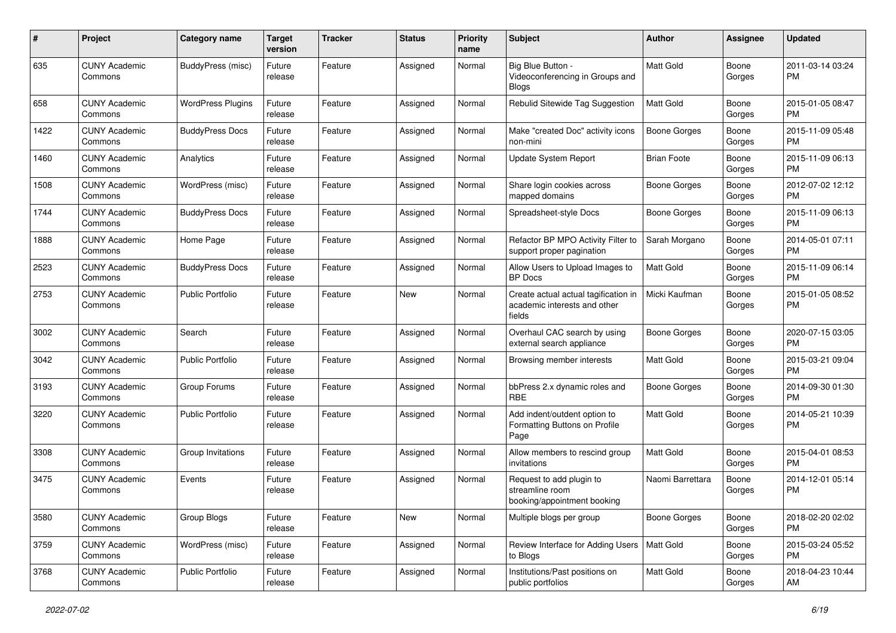| $\#$ | Project                         | <b>Category name</b>     | <b>Target</b><br>version | <b>Tracker</b> | <b>Status</b> | Priority<br>name | <b>Subject</b>                                                                 | <b>Author</b>       | <b>Assignee</b> | <b>Updated</b>                |
|------|---------------------------------|--------------------------|--------------------------|----------------|---------------|------------------|--------------------------------------------------------------------------------|---------------------|-----------------|-------------------------------|
| 635  | <b>CUNY Academic</b><br>Commons | BuddyPress (misc)        | Future<br>release        | Feature        | Assigned      | Normal           | Big Blue Button -<br>Videoconferencing in Groups and<br><b>Blogs</b>           | <b>Matt Gold</b>    | Boone<br>Gorges | 2011-03-14 03:24<br>PM.       |
| 658  | <b>CUNY Academic</b><br>Commons | <b>WordPress Plugins</b> | Future<br>release        | Feature        | Assigned      | Normal           | Rebulid Sitewide Tag Suggestion                                                | <b>Matt Gold</b>    | Boone<br>Gorges | 2015-01-05 08:47<br>PM.       |
| 1422 | <b>CUNY Academic</b><br>Commons | <b>BuddyPress Docs</b>   | Future<br>release        | Feature        | Assigned      | Normal           | Make "created Doc" activity icons<br>non-mini                                  | <b>Boone Gorges</b> | Boone<br>Gorges | 2015-11-09 05:48<br><b>PM</b> |
| 1460 | <b>CUNY Academic</b><br>Commons | Analytics                | Future<br>release        | Feature        | Assigned      | Normal           | Update System Report                                                           | <b>Brian Foote</b>  | Boone<br>Gorges | 2015-11-09 06:13<br><b>PM</b> |
| 1508 | <b>CUNY Academic</b><br>Commons | WordPress (misc)         | Future<br>release        | Feature        | Assigned      | Normal           | Share login cookies across<br>mapped domains                                   | Boone Gorges        | Boone<br>Gorges | 2012-07-02 12:12<br><b>PM</b> |
| 1744 | <b>CUNY Academic</b><br>Commons | <b>BuddyPress Docs</b>   | Future<br>release        | Feature        | Assigned      | Normal           | Spreadsheet-style Docs                                                         | Boone Gorges        | Boone<br>Gorges | 2015-11-09 06:13<br><b>PM</b> |
| 1888 | <b>CUNY Academic</b><br>Commons | Home Page                | Future<br>release        | Feature        | Assigned      | Normal           | Refactor BP MPO Activity Filter to<br>support proper pagination                | Sarah Morgano       | Boone<br>Gorges | 2014-05-01 07:11<br><b>PM</b> |
| 2523 | <b>CUNY Academic</b><br>Commons | <b>BuddyPress Docs</b>   | Future<br>release        | Feature        | Assigned      | Normal           | Allow Users to Upload Images to<br><b>BP</b> Docs                              | Matt Gold           | Boone<br>Gorges | 2015-11-09 06:14<br><b>PM</b> |
| 2753 | <b>CUNY Academic</b><br>Commons | Public Portfolio         | Future<br>release        | Feature        | New           | Normal           | Create actual actual tagification in<br>academic interests and other<br>fields | Micki Kaufman       | Boone<br>Gorges | 2015-01-05 08:52<br>PM        |
| 3002 | <b>CUNY Academic</b><br>Commons | Search                   | Future<br>release        | Feature        | Assigned      | Normal           | Overhaul CAC search by using<br>external search appliance                      | Boone Gorges        | Boone<br>Gorges | 2020-07-15 03:05<br>PM.       |
| 3042 | <b>CUNY Academic</b><br>Commons | Public Portfolio         | Future<br>release        | Feature        | Assigned      | Normal           | Browsing member interests                                                      | Matt Gold           | Boone<br>Gorges | 2015-03-21 09:04<br><b>PM</b> |
| 3193 | <b>CUNY Academic</b><br>Commons | Group Forums             | Future<br>release        | Feature        | Assigned      | Normal           | bbPress 2.x dynamic roles and<br><b>RBE</b>                                    | <b>Boone Gorges</b> | Boone<br>Gorges | 2014-09-30 01:30<br><b>PM</b> |
| 3220 | <b>CUNY Academic</b><br>Commons | Public Portfolio         | Future<br>release        | Feature        | Assigned      | Normal           | Add indent/outdent option to<br>Formatting Buttons on Profile<br>Page          | Matt Gold           | Boone<br>Gorges | 2014-05-21 10:39<br>PM        |
| 3308 | <b>CUNY Academic</b><br>Commons | Group Invitations        | Future<br>release        | Feature        | Assigned      | Normal           | Allow members to rescind group<br>invitations                                  | Matt Gold           | Boone<br>Gorges | 2015-04-01 08:53<br><b>PM</b> |
| 3475 | <b>CUNY Academic</b><br>Commons | Events                   | Future<br>release        | Feature        | Assigned      | Normal           | Request to add plugin to<br>streamline room<br>booking/appointment booking     | Naomi Barrettara    | Boone<br>Gorges | 2014-12-01 05:14<br><b>PM</b> |
| 3580 | <b>CUNY Academic</b><br>Commons | Group Blogs              | Future<br>release        | Feature        | New           | Normal           | Multiple blogs per group                                                       | Boone Gorges        | Boone<br>Gorges | 2018-02-20 02:02<br>PM.       |
| 3759 | <b>CUNY Academic</b><br>Commons | WordPress (misc)         | Future<br>release        | Feature        | Assigned      | Normal           | Review Interface for Adding Users<br>to Blogs                                  | Matt Gold           | Boone<br>Gorges | 2015-03-24 05:52<br><b>PM</b> |
| 3768 | <b>CUNY Academic</b><br>Commons | Public Portfolio         | Future<br>release        | Feature        | Assigned      | Normal           | Institutions/Past positions on<br>public portfolios                            | Matt Gold           | Boone<br>Gorges | 2018-04-23 10:44<br>AM        |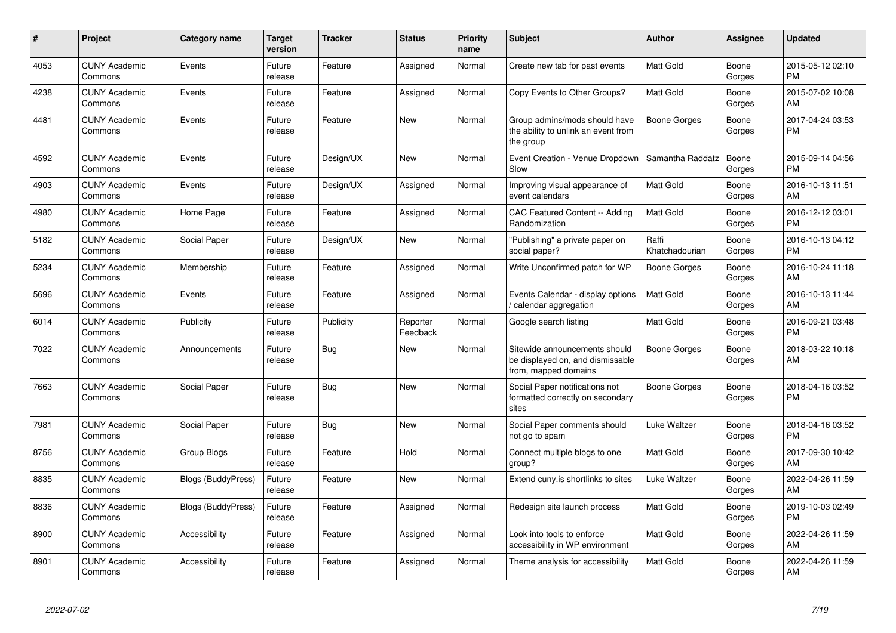| #    | Project                         | <b>Category name</b>      | <b>Target</b><br>version | <b>Tracker</b> | <b>Status</b>        | <b>Priority</b><br>name | <b>Subject</b>                                                                            | <b>Author</b>           | <b>Assignee</b> | <b>Updated</b>                |
|------|---------------------------------|---------------------------|--------------------------|----------------|----------------------|-------------------------|-------------------------------------------------------------------------------------------|-------------------------|-----------------|-------------------------------|
| 4053 | <b>CUNY Academic</b><br>Commons | Events                    | Future<br>release        | Feature        | Assigned             | Normal                  | Create new tab for past events                                                            | <b>Matt Gold</b>        | Boone<br>Gorges | 2015-05-12 02:10<br><b>PM</b> |
| 4238 | <b>CUNY Academic</b><br>Commons | Events                    | Future<br>release        | Feature        | Assigned             | Normal                  | Copy Events to Other Groups?                                                              | <b>Matt Gold</b>        | Boone<br>Gorges | 2015-07-02 10:08<br>AM        |
| 4481 | <b>CUNY Academic</b><br>Commons | Events                    | Future<br>release        | Feature        | New                  | Normal                  | Group admins/mods should have<br>the ability to unlink an event from<br>the group         | Boone Gorges            | Boone<br>Gorges | 2017-04-24 03:53<br><b>PM</b> |
| 4592 | <b>CUNY Academic</b><br>Commons | Events                    | Future<br>release        | Design/UX      | New                  | Normal                  | Event Creation - Venue Dropdown<br>Slow                                                   | Samantha Raddatz        | Boone<br>Gorges | 2015-09-14 04:56<br><b>PM</b> |
| 4903 | <b>CUNY Academic</b><br>Commons | Events                    | Future<br>release        | Design/UX      | Assigned             | Normal                  | Improving visual appearance of<br>event calendars                                         | Matt Gold               | Boone<br>Gorges | 2016-10-13 11:51<br>AM        |
| 4980 | <b>CUNY Academic</b><br>Commons | Home Page                 | Future<br>release        | Feature        | Assigned             | Normal                  | CAC Featured Content -- Adding<br>Randomization                                           | <b>Matt Gold</b>        | Boone<br>Gorges | 2016-12-12 03:01<br><b>PM</b> |
| 5182 | <b>CUNY Academic</b><br>Commons | Social Paper              | Future<br>release        | Design/UX      | <b>New</b>           | Normal                  | "Publishing" a private paper on<br>social paper?                                          | Raffi<br>Khatchadourian | Boone<br>Gorges | 2016-10-13 04:12<br><b>PM</b> |
| 5234 | <b>CUNY Academic</b><br>Commons | Membership                | Future<br>release        | Feature        | Assigned             | Normal                  | Write Unconfirmed patch for WP                                                            | Boone Gorges            | Boone<br>Gorges | 2016-10-24 11:18<br>AM        |
| 5696 | <b>CUNY Academic</b><br>Commons | Events                    | Future<br>release        | Feature        | Assigned             | Normal                  | Events Calendar - display options<br>/ calendar aggregation                               | <b>Matt Gold</b>        | Boone<br>Gorges | 2016-10-13 11:44<br>AM        |
| 6014 | <b>CUNY Academic</b><br>Commons | Publicity                 | Future<br>release        | Publicity      | Reporter<br>Feedback | Normal                  | Google search listing                                                                     | Matt Gold               | Boone<br>Gorges | 2016-09-21 03:48<br><b>PM</b> |
| 7022 | <b>CUNY Academic</b><br>Commons | Announcements             | Future<br>release        | Bug            | New                  | Normal                  | Sitewide announcements should<br>be displayed on, and dismissable<br>from, mapped domains | Boone Gorges            | Boone<br>Gorges | 2018-03-22 10:18<br>AM        |
| 7663 | <b>CUNY Academic</b><br>Commons | Social Paper              | Future<br>release        | Bug            | <b>New</b>           | Normal                  | Social Paper notifications not<br>formatted correctly on secondary<br>sites               | Boone Gorges            | Boone<br>Gorges | 2018-04-16 03:52<br><b>PM</b> |
| 7981 | <b>CUNY Academic</b><br>Commons | Social Paper              | Future<br>release        | <b>Bug</b>     | <b>New</b>           | Normal                  | Social Paper comments should<br>not go to spam                                            | Luke Waltzer            | Boone<br>Gorges | 2018-04-16 03:52<br><b>PM</b> |
| 8756 | <b>CUNY Academic</b><br>Commons | Group Blogs               | Future<br>release        | Feature        | Hold                 | Normal                  | Connect multiple blogs to one<br>group?                                                   | Matt Gold               | Boone<br>Gorges | 2017-09-30 10:42<br>AM        |
| 8835 | <b>CUNY Academic</b><br>Commons | <b>Blogs (BuddyPress)</b> | Future<br>release        | Feature        | <b>New</b>           | Normal                  | Extend cuny is shortlinks to sites                                                        | Luke Waltzer            | Boone<br>Gorges | 2022-04-26 11:59<br>AM        |
| 8836 | <b>CUNY Academic</b><br>Commons | <b>Blogs (BuddyPress)</b> | Future<br>release        | Feature        | Assigned             | Normal                  | Redesign site launch process                                                              | <b>Matt Gold</b>        | Boone<br>Gorges | 2019-10-03 02:49<br><b>PM</b> |
| 8900 | <b>CUNY Academic</b><br>Commons | Accessibility             | Future<br>release        | Feature        | Assigned             | Normal                  | Look into tools to enforce<br>accessibility in WP environment                             | <b>Matt Gold</b>        | Boone<br>Gorges | 2022-04-26 11:59<br>AM        |
| 8901 | <b>CUNY Academic</b><br>Commons | Accessibility             | Future<br>release        | Feature        | Assigned             | Normal                  | Theme analysis for accessibility                                                          | <b>Matt Gold</b>        | Boone<br>Gorges | 2022-04-26 11:59<br>AM        |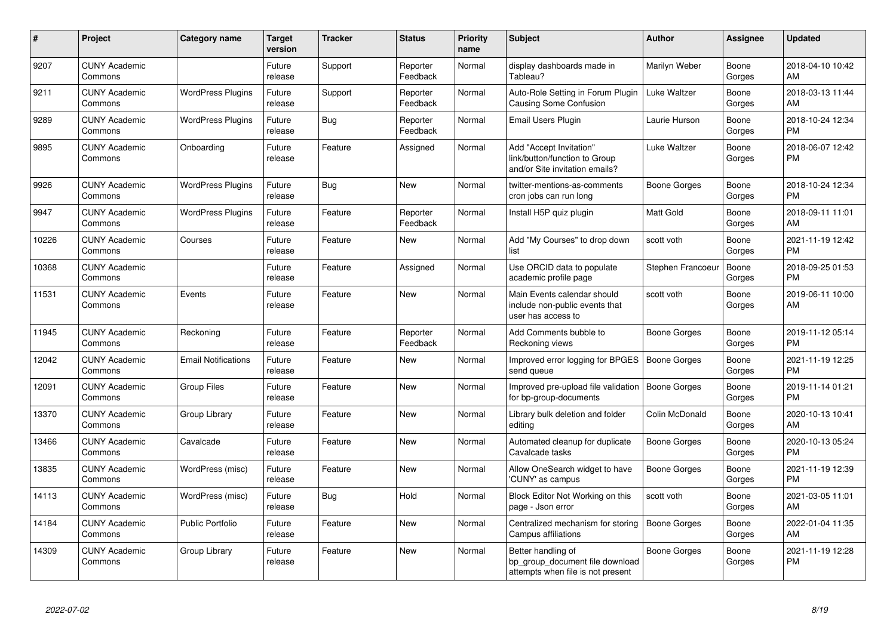| #     | <b>Project</b>                  | <b>Category name</b>       | <b>Target</b><br>version | <b>Tracker</b> | <b>Status</b>        | <b>Priority</b><br>name | <b>Subject</b>                                                                             | <b>Author</b>       | Assignee        | <b>Updated</b>                |
|-------|---------------------------------|----------------------------|--------------------------|----------------|----------------------|-------------------------|--------------------------------------------------------------------------------------------|---------------------|-----------------|-------------------------------|
| 9207  | <b>CUNY Academic</b><br>Commons |                            | Future<br>release        | Support        | Reporter<br>Feedback | Normal                  | display dashboards made in<br>Tableau?                                                     | Marilyn Weber       | Boone<br>Gorges | 2018-04-10 10:42<br><b>AM</b> |
| 9211  | <b>CUNY Academic</b><br>Commons | <b>WordPress Plugins</b>   | Future<br>release        | Support        | Reporter<br>Feedback | Normal                  | Auto-Role Setting in Forum Plugin<br>Causing Some Confusion                                | Luke Waltzer        | Boone<br>Gorges | 2018-03-13 11:44<br>AM        |
| 9289  | <b>CUNY Academic</b><br>Commons | <b>WordPress Plugins</b>   | Future<br>release        | Bug            | Reporter<br>Feedback | Normal                  | Email Users Plugin                                                                         | Laurie Hurson       | Boone<br>Gorges | 2018-10-24 12:34<br><b>PM</b> |
| 9895  | <b>CUNY Academic</b><br>Commons | Onboarding                 | Future<br>release        | Feature        | Assigned             | Normal                  | Add "Accept Invitation"<br>link/button/function to Group<br>and/or Site invitation emails? | Luke Waltzer        | Boone<br>Gorges | 2018-06-07 12:42<br><b>PM</b> |
| 9926  | <b>CUNY Academic</b><br>Commons | <b>WordPress Plugins</b>   | Future<br>release        | Bug            | New                  | Normal                  | twitter-mentions-as-comments<br>cron jobs can run long                                     | Boone Gorges        | Boone<br>Gorges | 2018-10-24 12:34<br><b>PM</b> |
| 9947  | <b>CUNY Academic</b><br>Commons | <b>WordPress Plugins</b>   | Future<br>release        | Feature        | Reporter<br>Feedback | Normal                  | Install H5P quiz plugin                                                                    | <b>Matt Gold</b>    | Boone<br>Gorges | 2018-09-11 11:01<br>AM        |
| 10226 | <b>CUNY Academic</b><br>Commons | Courses                    | Future<br>release        | Feature        | <b>New</b>           | Normal                  | Add "My Courses" to drop down<br>list                                                      | scott voth          | Boone<br>Gorges | 2021-11-19 12:42<br><b>PM</b> |
| 10368 | <b>CUNY Academic</b><br>Commons |                            | Future<br>release        | Feature        | Assigned             | Normal                  | Use ORCID data to populate<br>academic profile page                                        | Stephen Francoeur   | Boone<br>Gorges | 2018-09-25 01:53<br><b>PM</b> |
| 11531 | <b>CUNY Academic</b><br>Commons | Events                     | Future<br>release        | Feature        | <b>New</b>           | Normal                  | Main Events calendar should<br>include non-public events that<br>user has access to        | scott voth          | Boone<br>Gorges | 2019-06-11 10:00<br>AM        |
| 11945 | <b>CUNY Academic</b><br>Commons | Reckoning                  | Future<br>release        | Feature        | Reporter<br>Feedback | Normal                  | Add Comments bubble to<br>Reckoning views                                                  | Boone Gorges        | Boone<br>Gorges | 2019-11-12 05:14<br><b>PM</b> |
| 12042 | <b>CUNY Academic</b><br>Commons | <b>Email Notifications</b> | Future<br>release        | Feature        | New                  | Normal                  | Improved error logging for BPGES<br>send queue                                             | Boone Gorges        | Boone<br>Gorges | 2021-11-19 12:25<br><b>PM</b> |
| 12091 | <b>CUNY Academic</b><br>Commons | <b>Group Files</b>         | Future<br>release        | Feature        | <b>New</b>           | Normal                  | Improved pre-upload file validation<br>for bp-group-documents                              | Boone Gorges        | Boone<br>Gorges | 2019-11-14 01:21<br><b>PM</b> |
| 13370 | <b>CUNY Academic</b><br>Commons | Group Library              | Future<br>release        | Feature        | <b>New</b>           | Normal                  | Library bulk deletion and folder<br>editing                                                | Colin McDonald      | Boone<br>Gorges | 2020-10-13 10:41<br>AM        |
| 13466 | <b>CUNY Academic</b><br>Commons | Cavalcade                  | Future<br>release        | Feature        | <b>New</b>           | Normal                  | Automated cleanup for duplicate<br>Cavalcade tasks                                         | Boone Gorges        | Boone<br>Gorges | 2020-10-13 05:24<br><b>PM</b> |
| 13835 | <b>CUNY Academic</b><br>Commons | WordPress (misc)           | Future<br>release        | Feature        | New                  | Normal                  | Allow OneSearch widget to have<br>'CUNY' as campus                                         | Boone Gorges        | Boone<br>Gorges | 2021-11-19 12:39<br><b>PM</b> |
| 14113 | <b>CUNY Academic</b><br>Commons | WordPress (misc)           | Future<br>release        | Bug            | Hold                 | Normal                  | Block Editor Not Working on this<br>page - Json error                                      | scott voth          | Boone<br>Gorges | 2021-03-05 11:01<br>AM.       |
| 14184 | <b>CUNY Academic</b><br>Commons | <b>Public Portfolio</b>    | Future<br>release        | Feature        | New                  | Normal                  | Centralized mechanism for storing<br>Campus affiliations                                   | <b>Boone Gorges</b> | Boone<br>Gorges | 2022-01-04 11:35<br><b>AM</b> |
| 14309 | <b>CUNY Academic</b><br>Commons | Group Library              | Future<br>release        | Feature        | <b>New</b>           | Normal                  | Better handling of<br>bp_group_document file download<br>attempts when file is not present | Boone Gorges        | Boone<br>Gorges | 2021-11-19 12:28<br><b>PM</b> |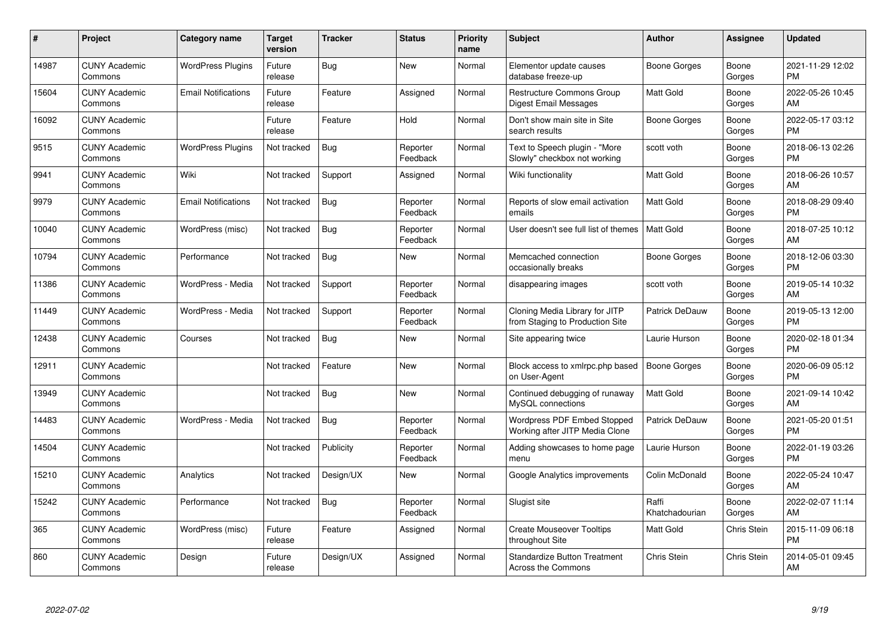| #     | Project                         | <b>Category name</b>       | Target<br>version | <b>Tracker</b> | <b>Status</b>        | Priority<br>name | <b>Subject</b>                                                    | <b>Author</b>           | <b>Assignee</b> | <b>Updated</b>                |
|-------|---------------------------------|----------------------------|-------------------|----------------|----------------------|------------------|-------------------------------------------------------------------|-------------------------|-----------------|-------------------------------|
| 14987 | <b>CUNY Academic</b><br>Commons | <b>WordPress Plugins</b>   | Future<br>release | Bug            | <b>New</b>           | Normal           | Elementor update causes<br>database freeze-up                     | Boone Gorges            | Boone<br>Gorges | 2021-11-29 12:02<br><b>PM</b> |
| 15604 | <b>CUNY Academic</b><br>Commons | <b>Email Notifications</b> | Future<br>release | Feature        | Assigned             | Normal           | Restructure Commons Group<br><b>Digest Email Messages</b>         | <b>Matt Gold</b>        | Boone<br>Gorges | 2022-05-26 10:45<br><b>AM</b> |
| 16092 | <b>CUNY Academic</b><br>Commons |                            | Future<br>release | Feature        | Hold                 | Normal           | Don't show main site in Site<br>search results                    | Boone Gorges            | Boone<br>Gorges | 2022-05-17 03:12<br><b>PM</b> |
| 9515  | <b>CUNY Academic</b><br>Commons | <b>WordPress Plugins</b>   | Not tracked       | Bug            | Reporter<br>Feedback | Normal           | Text to Speech plugin - "More<br>Slowly" checkbox not working     | scott voth              | Boone<br>Gorges | 2018-06-13 02:26<br><b>PM</b> |
| 9941  | <b>CUNY Academic</b><br>Commons | Wiki                       | Not tracked       | Support        | Assigned             | Normal           | Wiki functionality                                                | <b>Matt Gold</b>        | Boone<br>Gorges | 2018-06-26 10:57<br><b>AM</b> |
| 9979  | <b>CUNY Academic</b><br>Commons | <b>Email Notifications</b> | Not tracked       | Bug            | Reporter<br>Feedback | Normal           | Reports of slow email activation<br>emails                        | <b>Matt Gold</b>        | Boone<br>Gorges | 2018-08-29 09:40<br><b>PM</b> |
| 10040 | <b>CUNY Academic</b><br>Commons | WordPress (misc)           | Not tracked       | <b>Bug</b>     | Reporter<br>Feedback | Normal           | User doesn't see full list of themes                              | <b>Matt Gold</b>        | Boone<br>Gorges | 2018-07-25 10:12<br>AM        |
| 10794 | <b>CUNY Academic</b><br>Commons | Performance                | Not tracked       | Bug            | <b>New</b>           | Normal           | Memcached connection<br>occasionally breaks                       | <b>Boone Gorges</b>     | Boone<br>Gorges | 2018-12-06 03:30<br><b>PM</b> |
| 11386 | <b>CUNY Academic</b><br>Commons | WordPress - Media          | Not tracked       | Support        | Reporter<br>Feedback | Normal           | disappearing images                                               | scott voth              | Boone<br>Gorges | 2019-05-14 10:32<br>AM        |
| 11449 | <b>CUNY Academic</b><br>Commons | WordPress - Media          | Not tracked       | Support        | Reporter<br>Feedback | Normal           | Cloning Media Library for JITP<br>from Staging to Production Site | Patrick DeDauw          | Boone<br>Gorges | 2019-05-13 12:00<br>PM.       |
| 12438 | <b>CUNY Academic</b><br>Commons | Courses                    | Not tracked       | Bug            | <b>New</b>           | Normal           | Site appearing twice                                              | Laurie Hurson           | Boone<br>Gorges | 2020-02-18 01:34<br><b>PM</b> |
| 12911 | <b>CUNY Academic</b><br>Commons |                            | Not tracked       | Feature        | New                  | Normal           | Block access to xmlrpc.php based<br>on User-Agent                 | <b>Boone Gorges</b>     | Boone<br>Gorges | 2020-06-09 05:12<br><b>PM</b> |
| 13949 | <b>CUNY Academic</b><br>Commons |                            | Not tracked       | Bug            | New                  | Normal           | Continued debugging of runaway<br>MySQL connections               | Matt Gold               | Boone<br>Gorges | 2021-09-14 10:42<br>AM        |
| 14483 | <b>CUNY Academic</b><br>Commons | WordPress - Media          | Not tracked       | Bug            | Reporter<br>Feedback | Normal           | Wordpress PDF Embed Stopped<br>Working after JITP Media Clone     | Patrick DeDauw          | Boone<br>Gorges | 2021-05-20 01:51<br><b>PM</b> |
| 14504 | <b>CUNY Academic</b><br>Commons |                            | Not tracked       | Publicity      | Reporter<br>Feedback | Normal           | Adding showcases to home page<br>menu                             | Laurie Hurson           | Boone<br>Gorges | 2022-01-19 03:26<br><b>PM</b> |
| 15210 | <b>CUNY Academic</b><br>Commons | Analytics                  | Not tracked       | Design/UX      | New                  | Normal           | Google Analytics improvements                                     | Colin McDonald          | Boone<br>Gorges | 2022-05-24 10:47<br><b>AM</b> |
| 15242 | <b>CUNY Academic</b><br>Commons | Performance                | Not tracked       | Bug            | Reporter<br>Feedback | Normal           | Slugist site                                                      | Raffi<br>Khatchadourian | Boone<br>Gorges | 2022-02-07 11:14<br>AM.       |
| 365   | <b>CUNY Academic</b><br>Commons | WordPress (misc)           | Future<br>release | Feature        | Assigned             | Normal           | <b>Create Mouseover Tooltips</b><br>throughout Site               | Matt Gold               | Chris Stein     | 2015-11-09 06:18<br><b>PM</b> |
| 860   | <b>CUNY Academic</b><br>Commons | Design                     | Future<br>release | Design/UX      | Assigned             | Normal           | <b>Standardize Button Treatment</b><br>Across the Commons         | Chris Stein             | Chris Stein     | 2014-05-01 09:45<br>AM        |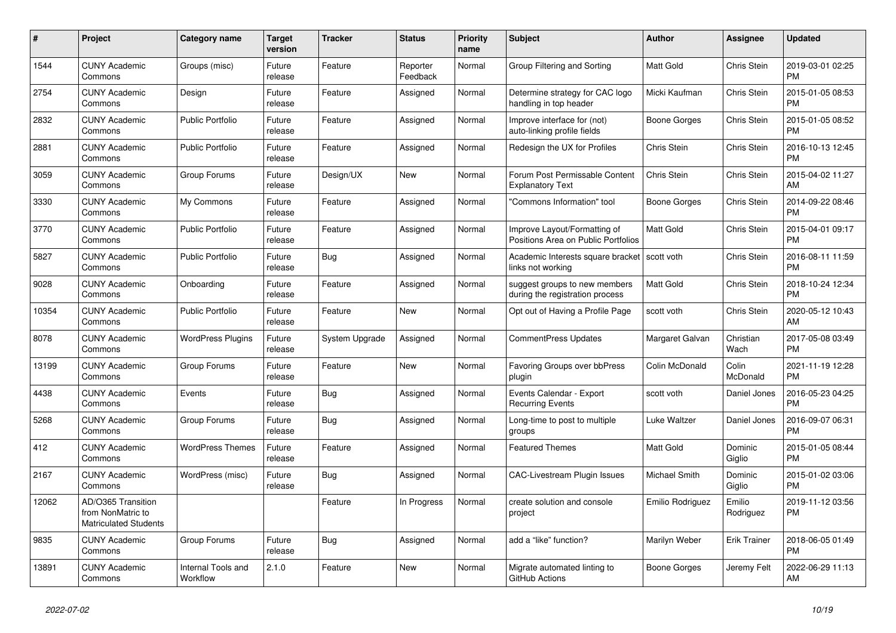| $\pmb{\#}$ | <b>Project</b>                                                          | Category name                  | <b>Target</b><br>version | <b>Tracker</b> | <b>Status</b>        | Priority<br>name | <b>Subject</b>                                                      | <b>Author</b>    | Assignee            | <b>Updated</b>                |
|------------|-------------------------------------------------------------------------|--------------------------------|--------------------------|----------------|----------------------|------------------|---------------------------------------------------------------------|------------------|---------------------|-------------------------------|
| 1544       | <b>CUNY Academic</b><br>Commons                                         | Groups (misc)                  | Future<br>release        | Feature        | Reporter<br>Feedback | Normal           | Group Filtering and Sorting                                         | <b>Matt Gold</b> | Chris Stein         | 2019-03-01 02:25<br><b>PM</b> |
| 2754       | <b>CUNY Academic</b><br>Commons                                         | Design                         | Future<br>release        | Feature        | Assigned             | Normal           | Determine strategy for CAC logo<br>handling in top header           | Micki Kaufman    | Chris Stein         | 2015-01-05 08:53<br><b>PM</b> |
| 2832       | <b>CUNY Academic</b><br>Commons                                         | <b>Public Portfolio</b>        | Future<br>release        | Feature        | Assigned             | Normal           | Improve interface for (not)<br>auto-linking profile fields          | Boone Gorges     | Chris Stein         | 2015-01-05 08:52<br><b>PM</b> |
| 2881       | <b>CUNY Academic</b><br>Commons                                         | <b>Public Portfolio</b>        | Future<br>release        | Feature        | Assigned             | Normal           | Redesign the UX for Profiles                                        | Chris Stein      | Chris Stein         | 2016-10-13 12:45<br><b>PM</b> |
| 3059       | <b>CUNY Academic</b><br>Commons                                         | Group Forums                   | Future<br>release        | Design/UX      | New                  | Normal           | Forum Post Permissable Content<br><b>Explanatory Text</b>           | Chris Stein      | Chris Stein         | 2015-04-02 11:27<br>AM        |
| 3330       | <b>CUNY Academic</b><br>Commons                                         | My Commons                     | Future<br>release        | Feature        | Assigned             | Normal           | "Commons Information" tool                                          | Boone Gorges     | Chris Stein         | 2014-09-22 08:46<br><b>PM</b> |
| 3770       | <b>CUNY Academic</b><br>Commons                                         | <b>Public Portfolio</b>        | Future<br>release        | Feature        | Assigned             | Normal           | Improve Layout/Formatting of<br>Positions Area on Public Portfolios | <b>Matt Gold</b> | Chris Stein         | 2015-04-01 09:17<br><b>PM</b> |
| 5827       | <b>CUNY Academic</b><br>Commons                                         | <b>Public Portfolio</b>        | Future<br>release        | Bug            | Assigned             | Normal           | Academic Interests square bracket<br>links not working              | scott voth       | Chris Stein         | 2016-08-11 11:59<br><b>PM</b> |
| 9028       | <b>CUNY Academic</b><br>Commons                                         | Onboarding                     | Future<br>release        | Feature        | Assigned             | Normal           | suggest groups to new members<br>during the registration process    | Matt Gold        | Chris Stein         | 2018-10-24 12:34<br><b>PM</b> |
| 10354      | <b>CUNY Academic</b><br>Commons                                         | <b>Public Portfolio</b>        | Future<br>release        | Feature        | <b>New</b>           | Normal           | Opt out of Having a Profile Page                                    | scott voth       | Chris Stein         | 2020-05-12 10:43<br>AM        |
| 8078       | <b>CUNY Academic</b><br>Commons                                         | <b>WordPress Plugins</b>       | Future<br>release        | System Upgrade | Assigned             | Normal           | <b>CommentPress Updates</b>                                         | Margaret Galvan  | Christian<br>Wach   | 2017-05-08 03:49<br><b>PM</b> |
| 13199      | <b>CUNY Academic</b><br>Commons                                         | Group Forums                   | Future<br>release        | Feature        | New                  | Normal           | Favoring Groups over bbPress<br>plugin                              | Colin McDonald   | Colin<br>McDonald   | 2021-11-19 12:28<br><b>PM</b> |
| 4438       | <b>CUNY Academic</b><br>Commons                                         | Events                         | Future<br>release        | <b>Bug</b>     | Assigned             | Normal           | Events Calendar - Export<br><b>Recurring Events</b>                 | scott voth       | Daniel Jones        | 2016-05-23 04:25<br><b>PM</b> |
| 5268       | <b>CUNY Academic</b><br>Commons                                         | Group Forums                   | Future<br>release        | <b>Bug</b>     | Assigned             | Normal           | Long-time to post to multiple<br>groups                             | Luke Waltzer     | Daniel Jones        | 2016-09-07 06:31<br><b>PM</b> |
| 412        | <b>CUNY Academic</b><br>Commons                                         | <b>WordPress Themes</b>        | Future<br>release        | Feature        | Assigned             | Normal           | <b>Featured Themes</b>                                              | Matt Gold        | Dominic<br>Giglio   | 2015-01-05 08:44<br><b>PM</b> |
| 2167       | <b>CUNY Academic</b><br>Commons                                         | WordPress (misc)               | Future<br>release        | Bug            | Assigned             | Normal           | CAC-Livestream Plugin Issues                                        | Michael Smith    | Dominic<br>Giglio   | 2015-01-02 03:06<br><b>PM</b> |
| 12062      | AD/O365 Transition<br>from NonMatric to<br><b>Matriculated Students</b> |                                |                          | Feature        | In Progress          | Normal           | create solution and console<br>project                              | Emilio Rodriguez | Emilio<br>Rodriguez | 2019-11-12 03:56<br><b>PM</b> |
| 9835       | <b>CUNY Academic</b><br>Commons                                         | Group Forums                   | Future<br>release        | Bug            | Assigned             | Normal           | add a "like" function?                                              | Marilyn Weber    | <b>Erik Trainer</b> | 2018-06-05 01:49<br><b>PM</b> |
| 13891      | CUNY Academic<br>Commons                                                | Internal Tools and<br>Workflow | 2.1.0                    | Feature        | <b>New</b>           | Normal           | Migrate automated linting to<br>GitHub Actions                      | Boone Gorges     | Jeremy Felt         | 2022-06-29 11:13<br>AM        |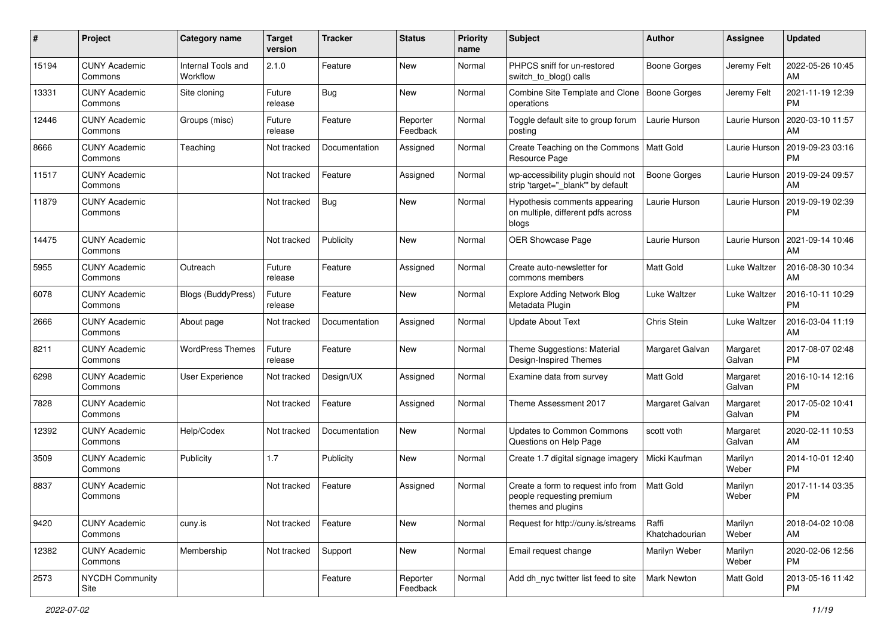| #     | Project                         | <b>Category name</b>           | <b>Target</b><br>version | <b>Tracker</b> | <b>Status</b>        | <b>Priority</b><br>name | Subject                                                                               | Author                  | <b>Assignee</b>    | <b>Updated</b>                |
|-------|---------------------------------|--------------------------------|--------------------------|----------------|----------------------|-------------------------|---------------------------------------------------------------------------------------|-------------------------|--------------------|-------------------------------|
| 15194 | <b>CUNY Academic</b><br>Commons | Internal Tools and<br>Workflow | 2.1.0                    | Feature        | <b>New</b>           | Normal                  | PHPCS sniff for un-restored<br>switch to blog() calls                                 | <b>Boone Gorges</b>     | Jeremy Felt        | 2022-05-26 10:45<br>AM        |
| 13331 | <b>CUNY Academic</b><br>Commons | Site cloning                   | Future<br>release        | Bug            | New                  | Normal                  | Combine Site Template and Clone<br>operations                                         | <b>Boone Gorges</b>     | Jeremy Felt        | 2021-11-19 12:39<br><b>PM</b> |
| 12446 | <b>CUNY Academic</b><br>Commons | Groups (misc)                  | Future<br>release        | Feature        | Reporter<br>Feedback | Normal                  | Toggle default site to group forum<br>posting                                         | Laurie Hurson           | Laurie Hurson      | 2020-03-10 11:57<br>AM        |
| 8666  | <b>CUNY Academic</b><br>Commons | Teaching                       | Not tracked              | Documentation  | Assigned             | Normal                  | Create Teaching on the Commons<br>Resource Page                                       | Matt Gold               | Laurie Hurson      | 2019-09-23 03:16<br><b>PM</b> |
| 11517 | <b>CUNY Academic</b><br>Commons |                                | Not tracked              | Feature        | Assigned             | Normal                  | wp-accessibility plugin should not<br>strip 'target="_blank"' by default              | Boone Gorges            | Laurie Hurson      | 2019-09-24 09:57<br>AM        |
| 11879 | <b>CUNY Academic</b><br>Commons |                                | Not tracked              | <b>Bug</b>     | New                  | Normal                  | Hypothesis comments appearing<br>on multiple, different pdfs across<br>blogs          | Laurie Hurson           | Laurie Hurson      | 2019-09-19 02:39<br><b>PM</b> |
| 14475 | <b>CUNY Academic</b><br>Commons |                                | Not tracked              | Publicity      | New                  | Normal                  | OER Showcase Page                                                                     | Laurie Hurson           | Laurie Hurson      | 2021-09-14 10:46<br>AM        |
| 5955  | <b>CUNY Academic</b><br>Commons | Outreach                       | Future<br>release        | Feature        | Assigned             | Normal                  | Create auto-newsletter for<br>commons members                                         | <b>Matt Gold</b>        | Luke Waltzer       | 2016-08-30 10:34<br>AM        |
| 6078  | <b>CUNY Academic</b><br>Commons | <b>Blogs (BuddyPress)</b>      | Future<br>release        | Feature        | <b>New</b>           | Normal                  | Explore Adding Network Blog<br>Metadata Plugin                                        | Luke Waltzer            | Luke Waltzer       | 2016-10-11 10:29<br><b>PM</b> |
| 2666  | <b>CUNY Academic</b><br>Commons | About page                     | Not tracked              | Documentation  | Assigned             | Normal                  | <b>Update About Text</b>                                                              | Chris Stein             | Luke Waltzer       | 2016-03-04 11:19<br>AM        |
| 8211  | <b>CUNY Academic</b><br>Commons | <b>WordPress Themes</b>        | Future<br>release        | Feature        | <b>New</b>           | Normal                  | Theme Suggestions: Material<br>Design-Inspired Themes                                 | Margaret Galvan         | Margaret<br>Galvan | 2017-08-07 02:48<br><b>PM</b> |
| 6298  | <b>CUNY Academic</b><br>Commons | <b>User Experience</b>         | Not tracked              | Design/UX      | Assigned             | Normal                  | Examine data from survey                                                              | <b>Matt Gold</b>        | Margaret<br>Galvan | 2016-10-14 12:16<br><b>PM</b> |
| 7828  | <b>CUNY Academic</b><br>Commons |                                | Not tracked              | Feature        | Assigned             | Normal                  | Theme Assessment 2017                                                                 | Margaret Galvan         | Margaret<br>Galvan | 2017-05-02 10:41<br><b>PM</b> |
| 12392 | <b>CUNY Academic</b><br>Commons | Help/Codex                     | Not tracked              | Documentation  | New                  | Normal                  | Updates to Common Commons<br>Questions on Help Page                                   | scott voth              | Margaret<br>Galvan | 2020-02-11 10:53<br>AM        |
| 3509  | <b>CUNY Academic</b><br>Commons | Publicity                      | 1.7                      | Publicity      | New                  | Normal                  | Create 1.7 digital signage imagery                                                    | Micki Kaufman           | Marilyn<br>Weber   | 2014-10-01 12:40<br><b>PM</b> |
| 8837  | <b>CUNY Academic</b><br>Commons |                                | Not tracked              | Feature        | Assigned             | Normal                  | Create a form to request info from<br>people requesting premium<br>themes and plugins | <b>Matt Gold</b>        | Marilyn<br>Weber   | 2017-11-14 03:35<br><b>PM</b> |
| 9420  | <b>CUNY Academic</b><br>Commons | cuny.is                        | Not tracked              | Feature        | New                  | Normal                  | Request for http://cuny.is/streams                                                    | Raffi<br>Khatchadourian | Marilyn<br>Weber   | 2018-04-02 10:08<br>AM        |
| 12382 | <b>CUNY Academic</b><br>Commons | Membership                     | Not tracked              | Support        | New                  | Normal                  | Email request change                                                                  | Marilyn Weber           | Marilyn<br>Weber   | 2020-02-06 12:56<br><b>PM</b> |
| 2573  | NYCDH Community<br>Site         |                                |                          | Feature        | Reporter<br>Feedback | Normal                  | Add dh_nyc twitter list feed to site                                                  | Mark Newton             | Matt Gold          | 2013-05-16 11:42<br>PM        |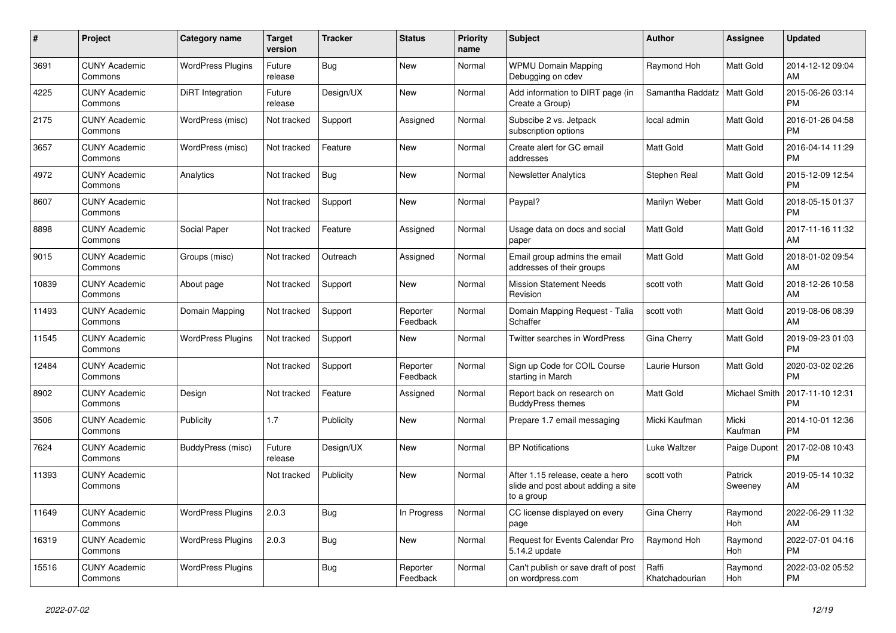| #     | Project                         | <b>Category name</b>     | <b>Target</b><br>version | <b>Tracker</b> | <b>Status</b>        | <b>Priority</b><br>name | <b>Subject</b>                                                                       | <b>Author</b>           | Assignee           | <b>Updated</b>                |
|-------|---------------------------------|--------------------------|--------------------------|----------------|----------------------|-------------------------|--------------------------------------------------------------------------------------|-------------------------|--------------------|-------------------------------|
| 3691  | <b>CUNY Academic</b><br>Commons | <b>WordPress Plugins</b> | Future<br>release        | Bug            | <b>New</b>           | Normal                  | <b>WPMU Domain Mapping</b><br>Debugging on cdev                                      | Raymond Hoh             | Matt Gold          | 2014-12-12 09:04<br>AM        |
| 4225  | <b>CUNY Academic</b><br>Commons | DiRT Integration         | Future<br>release        | Design/UX      | New                  | Normal                  | Add information to DIRT page (in<br>Create a Group)                                  | Samantha Raddatz        | <b>Matt Gold</b>   | 2015-06-26 03:14<br><b>PM</b> |
| 2175  | <b>CUNY Academic</b><br>Commons | WordPress (misc)         | Not tracked              | Support        | Assigned             | Normal                  | Subscibe 2 vs. Jetpack<br>subscription options                                       | local admin             | Matt Gold          | 2016-01-26 04:58<br><b>PM</b> |
| 3657  | <b>CUNY Academic</b><br>Commons | WordPress (misc)         | Not tracked              | Feature        | <b>New</b>           | Normal                  | Create alert for GC email<br>addresses                                               | <b>Matt Gold</b>        | Matt Gold          | 2016-04-14 11:29<br><b>PM</b> |
| 4972  | <b>CUNY Academic</b><br>Commons | Analytics                | Not tracked              | Bug            | New                  | Normal                  | <b>Newsletter Analytics</b>                                                          | Stephen Real            | Matt Gold          | 2015-12-09 12:54<br><b>PM</b> |
| 8607  | <b>CUNY Academic</b><br>Commons |                          | Not tracked              | Support        | New                  | Normal                  | Paypal?                                                                              | Marilyn Weber           | Matt Gold          | 2018-05-15 01:37<br><b>PM</b> |
| 8898  | <b>CUNY Academic</b><br>Commons | Social Paper             | Not tracked              | Feature        | Assigned             | Normal                  | Usage data on docs and social<br>paper                                               | <b>Matt Gold</b>        | Matt Gold          | 2017-11-16 11:32<br>AM        |
| 9015  | <b>CUNY Academic</b><br>Commons | Groups (misc)            | Not tracked              | Outreach       | Assigned             | Normal                  | Email group admins the email<br>addresses of their groups                            | <b>Matt Gold</b>        | Matt Gold          | 2018-01-02 09:54<br>AM        |
| 10839 | <b>CUNY Academic</b><br>Commons | About page               | Not tracked              | Support        | New                  | Normal                  | <b>Mission Statement Needs</b><br>Revision                                           | scott voth              | Matt Gold          | 2018-12-26 10:58<br>AM        |
| 11493 | <b>CUNY Academic</b><br>Commons | Domain Mapping           | Not tracked              | Support        | Reporter<br>Feedback | Normal                  | Domain Mapping Request - Talia<br>Schaffer                                           | scott voth              | Matt Gold          | 2019-08-06 08:39<br>AM        |
| 11545 | <b>CUNY Academic</b><br>Commons | <b>WordPress Plugins</b> | Not tracked              | Support        | New                  | Normal                  | <b>Twitter searches in WordPress</b>                                                 | Gina Cherry             | Matt Gold          | 2019-09-23 01:03<br><b>PM</b> |
| 12484 | <b>CUNY Academic</b><br>Commons |                          | Not tracked              | Support        | Reporter<br>Feedback | Normal                  | Sign up Code for COIL Course<br>starting in March                                    | Laurie Hurson           | Matt Gold          | 2020-03-02 02:26<br><b>PM</b> |
| 8902  | <b>CUNY Academic</b><br>Commons | Design                   | Not tracked              | Feature        | Assigned             | Normal                  | Report back on research on<br><b>BuddyPress themes</b>                               | <b>Matt Gold</b>        | Michael Smith      | 2017-11-10 12:31<br><b>PM</b> |
| 3506  | <b>CUNY Academic</b><br>Commons | Publicity                | 1.7                      | Publicity      | <b>New</b>           | Normal                  | Prepare 1.7 email messaging                                                          | Micki Kaufman           | Micki<br>Kaufman   | 2014-10-01 12:36<br><b>PM</b> |
| 7624  | <b>CUNY Academic</b><br>Commons | BuddyPress (misc)        | Future<br>release        | Design/UX      | New                  | Normal                  | <b>BP Notifications</b>                                                              | Luke Waltzer            | Paige Dupont       | 2017-02-08 10:43<br><b>PM</b> |
| 11393 | <b>CUNY Academic</b><br>Commons |                          | Not tracked              | Publicity      | <b>New</b>           | Normal                  | After 1.15 release, ceate a hero<br>slide and post about adding a site<br>to a group | scott voth              | Patrick<br>Sweeney | 2019-05-14 10:32<br>AM        |
| 11649 | <b>CUNY Academic</b><br>Commons | <b>WordPress Plugins</b> | 2.0.3                    | Bug            | In Progress          | Normal                  | CC license displayed on every<br>page                                                | Gina Cherry             | Raymond<br>Hoh     | 2022-06-29 11:32<br>AM        |
| 16319 | <b>CUNY Academic</b><br>Commons | <b>WordPress Plugins</b> | 2.0.3                    | Bug            | New                  | Normal                  | Request for Events Calendar Pro<br>5.14.2 update                                     | Raymond Hoh             | Raymond<br>Hoh     | 2022-07-01 04:16<br><b>PM</b> |
| 15516 | CUNY Academic<br>Commons        | <b>WordPress Plugins</b> |                          | Bug            | Reporter<br>Feedback | Normal                  | Can't publish or save draft of post<br>on wordpress.com                              | Raffi<br>Khatchadourian | Raymond<br>Hoh     | 2022-03-02 05:52<br><b>PM</b> |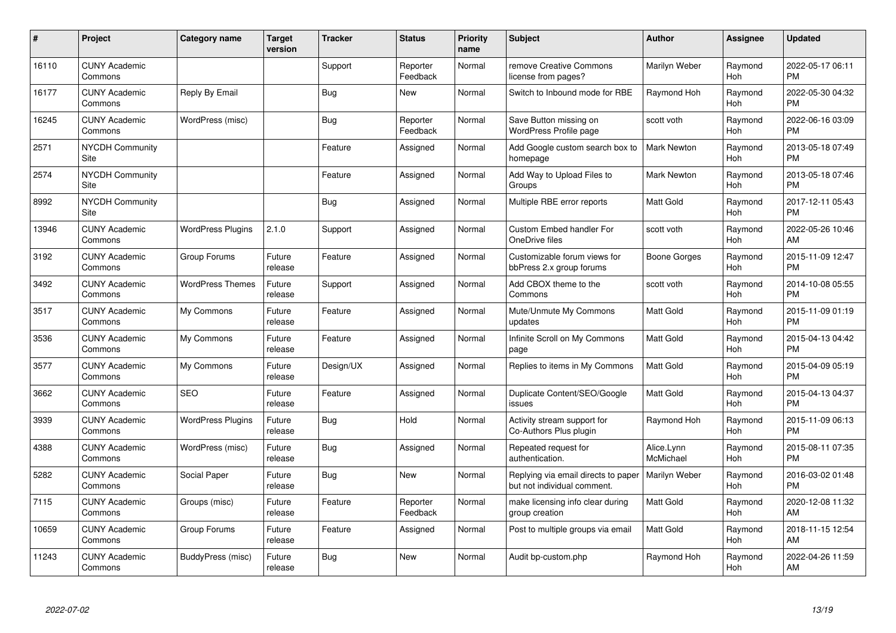| #     | Project                         | Category name            | <b>Target</b><br>version | <b>Tracker</b> | <b>Status</b>        | Priority<br>name | <b>Subject</b>                                                     | <b>Author</b>           | <b>Assignee</b> | <b>Updated</b>                |
|-------|---------------------------------|--------------------------|--------------------------|----------------|----------------------|------------------|--------------------------------------------------------------------|-------------------------|-----------------|-------------------------------|
| 16110 | <b>CUNY Academic</b><br>Commons |                          |                          | Support        | Reporter<br>Feedback | Normal           | remove Creative Commons<br>license from pages?                     | Marilyn Weber           | Raymond<br>Hoh  | 2022-05-17 06:11<br><b>PM</b> |
| 16177 | <b>CUNY Academic</b><br>Commons | Reply By Email           |                          | Bug            | <b>New</b>           | Normal           | Switch to Inbound mode for RBE                                     | Raymond Hoh             | Raymond<br>Hoh  | 2022-05-30 04:32<br><b>PM</b> |
| 16245 | <b>CUNY Academic</b><br>Commons | WordPress (misc)         |                          | <b>Bug</b>     | Reporter<br>Feedback | Normal           | Save Button missing on<br>WordPress Profile page                   | scott voth              | Raymond<br>Hoh  | 2022-06-16 03:09<br><b>PM</b> |
| 2571  | <b>NYCDH Community</b><br>Site  |                          |                          | Feature        | Assigned             | Normal           | Add Google custom search box to<br>homepage                        | <b>Mark Newton</b>      | Raymond<br>Hoh  | 2013-05-18 07:49<br><b>PM</b> |
| 2574  | <b>NYCDH Community</b><br>Site  |                          |                          | Feature        | Assigned             | Normal           | Add Way to Upload Files to<br>Groups                               | Mark Newton             | Raymond<br>Hoh  | 2013-05-18 07:46<br><b>PM</b> |
| 8992  | <b>NYCDH Community</b><br>Site  |                          |                          | <b>Bug</b>     | Assigned             | Normal           | Multiple RBE error reports                                         | <b>Matt Gold</b>        | Raymond<br>Hoh  | 2017-12-11 05:43<br><b>PM</b> |
| 13946 | <b>CUNY Academic</b><br>Commons | <b>WordPress Plugins</b> | 2.1.0                    | Support        | Assigned             | Normal           | Custom Embed handler For<br>OneDrive files                         | scott voth              | Raymond<br>Hoh  | 2022-05-26 10:46<br>AM        |
| 3192  | <b>CUNY Academic</b><br>Commons | Group Forums             | Future<br>release        | Feature        | Assigned             | Normal           | Customizable forum views for<br>bbPress 2.x group forums           | Boone Gorges            | Raymond<br>Hoh  | 2015-11-09 12:47<br><b>PM</b> |
| 3492  | <b>CUNY Academic</b><br>Commons | <b>WordPress Themes</b>  | Future<br>release        | Support        | Assigned             | Normal           | Add CBOX theme to the<br>Commons                                   | scott voth              | Raymond<br>Hoh  | 2014-10-08 05:55<br><b>PM</b> |
| 3517  | <b>CUNY Academic</b><br>Commons | My Commons               | Future<br>release        | Feature        | Assigned             | Normal           | Mute/Unmute My Commons<br>updates                                  | <b>Matt Gold</b>        | Raymond<br>Hoh  | 2015-11-09 01:19<br><b>PM</b> |
| 3536  | <b>CUNY Academic</b><br>Commons | My Commons               | Future<br>release        | Feature        | Assigned             | Normal           | Infinite Scroll on My Commons<br>page                              | <b>Matt Gold</b>        | Raymond<br>Hoh  | 2015-04-13 04:42<br><b>PM</b> |
| 3577  | <b>CUNY Academic</b><br>Commons | My Commons               | Future<br>release        | Design/UX      | Assigned             | Normal           | Replies to items in My Commons                                     | Matt Gold               | Raymond<br>Hoh  | 2015-04-09 05:19<br><b>PM</b> |
| 3662  | <b>CUNY Academic</b><br>Commons | <b>SEO</b>               | Future<br>release        | Feature        | Assigned             | Normal           | Duplicate Content/SEO/Google<br>issues                             | <b>Matt Gold</b>        | Raymond<br>Hoh  | 2015-04-13 04:37<br><b>PM</b> |
| 3939  | <b>CUNY Academic</b><br>Commons | <b>WordPress Plugins</b> | Future<br>release        | Bug            | Hold                 | Normal           | Activity stream support for<br>Co-Authors Plus plugin              | Raymond Hoh             | Raymond<br>Hoh  | 2015-11-09 06:13<br><b>PM</b> |
| 4388  | <b>CUNY Academic</b><br>Commons | WordPress (misc)         | Future<br>release        | <b>Bug</b>     | Assigned             | Normal           | Repeated request for<br>authentication.                            | Alice.Lynn<br>McMichael | Raymond<br>Hoh  | 2015-08-11 07:35<br><b>PM</b> |
| 5282  | <b>CUNY Academic</b><br>Commons | Social Paper             | Future<br>release        | Bug            | New                  | Normal           | Replying via email directs to paper<br>but not individual comment. | Marilyn Weber           | Raymond<br>Hoh  | 2016-03-02 01:48<br><b>PM</b> |
| 7115  | <b>CUNY Academic</b><br>Commons | Groups (misc)            | Future<br>release        | Feature        | Reporter<br>Feedback | Normal           | make licensing info clear during<br>group creation                 | <b>Matt Gold</b>        | Raymond<br>Hoh  | 2020-12-08 11:32<br>AM        |
| 10659 | <b>CUNY Academic</b><br>Commons | Group Forums             | Future<br>release        | Feature        | Assigned             | Normal           | Post to multiple groups via email                                  | <b>Matt Gold</b>        | Raymond<br>Hoh  | 2018-11-15 12:54<br>AM        |
| 11243 | <b>CUNY Academic</b><br>Commons | BuddyPress (misc)        | Future<br>release        | Bug            | <b>New</b>           | Normal           | Audit bp-custom.php                                                | Raymond Hoh             | Raymond<br>Hoh  | 2022-04-26 11:59<br>AM        |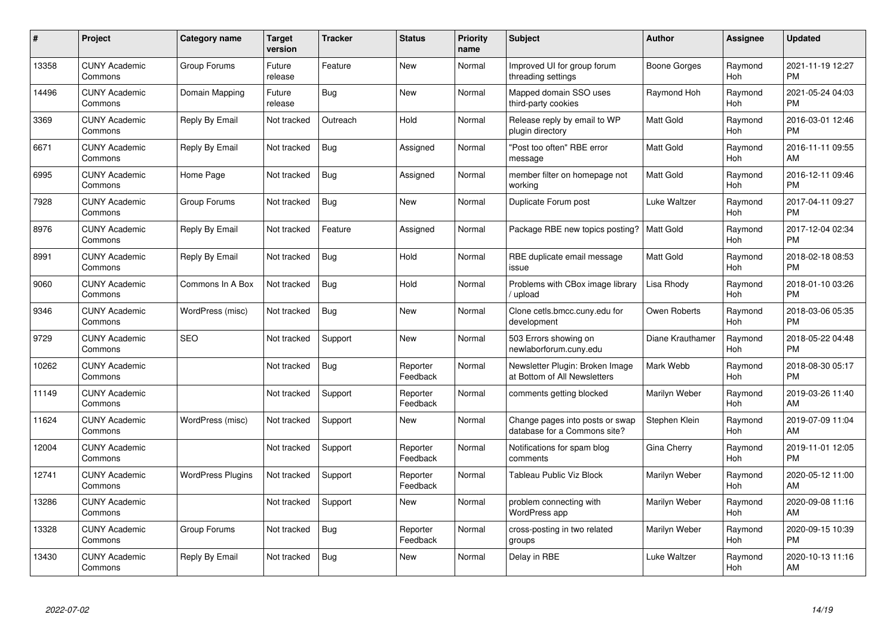| $\#$  | Project                         | <b>Category name</b>     | Target<br>version | <b>Tracker</b> | <b>Status</b>        | Priority<br>name | <b>Subject</b>                                                  | <b>Author</b>    | <b>Assignee</b> | <b>Updated</b>                |
|-------|---------------------------------|--------------------------|-------------------|----------------|----------------------|------------------|-----------------------------------------------------------------|------------------|-----------------|-------------------------------|
| 13358 | <b>CUNY Academic</b><br>Commons | Group Forums             | Future<br>release | Feature        | <b>New</b>           | Normal           | Improved UI for group forum<br>threading settings               | Boone Gorges     | Raymond<br>Hoh  | 2021-11-19 12:27<br><b>PM</b> |
| 14496 | <b>CUNY Academic</b><br>Commons | Domain Mapping           | Future<br>release | Bug            | <b>New</b>           | Normal           | Mapped domain SSO uses<br>third-party cookies                   | Raymond Hoh      | Raymond<br>Hoh  | 2021-05-24 04:03<br><b>PM</b> |
| 3369  | <b>CUNY Academic</b><br>Commons | Reply By Email           | Not tracked       | Outreach       | Hold                 | Normal           | Release reply by email to WP<br>plugin directory                | Matt Gold        | Raymond<br>Hoh  | 2016-03-01 12:46<br><b>PM</b> |
| 6671  | <b>CUNY Academic</b><br>Commons | Reply By Email           | Not tracked       | <b>Bug</b>     | Assigned             | Normal           | "Post too often" RBE error<br>message                           | <b>Matt Gold</b> | Raymond<br>Hoh  | 2016-11-11 09:55<br>AM        |
| 6995  | <b>CUNY Academic</b><br>Commons | Home Page                | Not tracked       | <b>Bug</b>     | Assigned             | Normal           | member filter on homepage not<br>workina                        | <b>Matt Gold</b> | Raymond<br>Hoh  | 2016-12-11 09:46<br><b>PM</b> |
| 7928  | <b>CUNY Academic</b><br>Commons | Group Forums             | Not tracked       | Bug            | <b>New</b>           | Normal           | Duplicate Forum post                                            | Luke Waltzer     | Raymond<br>Hoh  | 2017-04-11 09:27<br><b>PM</b> |
| 8976  | <b>CUNY Academic</b><br>Commons | Reply By Email           | Not tracked       | Feature        | Assigned             | Normal           | Package RBE new topics posting?                                 | <b>Matt Gold</b> | Raymond<br>Hoh  | 2017-12-04 02:34<br><b>PM</b> |
| 8991  | <b>CUNY Academic</b><br>Commons | Reply By Email           | Not tracked       | Bug            | Hold                 | Normal           | RBE duplicate email message<br>issue                            | Matt Gold        | Raymond<br>Hoh  | 2018-02-18 08:53<br><b>PM</b> |
| 9060  | <b>CUNY Academic</b><br>Commons | Commons In A Box         | Not tracked       | Bug            | Hold                 | Normal           | Problems with CBox image library<br>/ upload                    | Lisa Rhody       | Raymond<br>Hoh  | 2018-01-10 03:26<br><b>PM</b> |
| 9346  | <b>CUNY Academic</b><br>Commons | WordPress (misc)         | Not tracked       | Bug            | New                  | Normal           | Clone cetls.bmcc.cuny.edu for<br>development                    | Owen Roberts     | Raymond<br>Hoh  | 2018-03-06 05:35<br><b>PM</b> |
| 9729  | <b>CUNY Academic</b><br>Commons | <b>SEO</b>               | Not tracked       | Support        | New                  | Normal           | 503 Errors showing on<br>newlaborforum.cuny.edu                 | Diane Krauthamer | Raymond<br>Hoh  | 2018-05-22 04:48<br><b>PM</b> |
| 10262 | <b>CUNY Academic</b><br>Commons |                          | Not tracked       | Bug            | Reporter<br>Feedback | Normal           | Newsletter Plugin: Broken Image<br>at Bottom of All Newsletters | Mark Webb        | Raymond<br>Hoh  | 2018-08-30 05:17<br><b>PM</b> |
| 11149 | <b>CUNY Academic</b><br>Commons |                          | Not tracked       | Support        | Reporter<br>Feedback | Normal           | comments getting blocked                                        | Marilyn Weber    | Raymond<br>Hoh  | 2019-03-26 11:40<br>AM        |
| 11624 | <b>CUNY Academic</b><br>Commons | WordPress (misc)         | Not tracked       | Support        | New                  | Normal           | Change pages into posts or swap<br>database for a Commons site? | Stephen Klein    | Raymond<br>Hoh  | 2019-07-09 11:04<br>AM        |
| 12004 | <b>CUNY Academic</b><br>Commons |                          | Not tracked       | Support        | Reporter<br>Feedback | Normal           | Notifications for spam blog<br>comments                         | Gina Cherry      | Raymond<br>Hoh  | 2019-11-01 12:05<br><b>PM</b> |
| 12741 | <b>CUNY Academic</b><br>Commons | <b>WordPress Plugins</b> | Not tracked       | Support        | Reporter<br>Feedback | Normal           | <b>Tableau Public Viz Block</b>                                 | Marilyn Weber    | Raymond<br>Hoh  | 2020-05-12 11:00<br>AM        |
| 13286 | <b>CUNY Academic</b><br>Commons |                          | Not tracked       | Support        | New                  | Normal           | problem connecting with<br><b>WordPress app</b>                 | Marilyn Weber    | Raymond<br>Hoh  | 2020-09-08 11:16<br>AM        |
| 13328 | <b>CUNY Academic</b><br>Commons | Group Forums             | Not tracked       | Bug            | Reporter<br>Feedback | Normal           | cross-posting in two related<br>groups                          | Marilyn Weber    | Raymond<br>Hoh  | 2020-09-15 10:39<br><b>PM</b> |
| 13430 | CUNY Academic<br>Commons        | Reply By Email           | Not tracked       | Bug            | <b>New</b>           | Normal           | Delay in RBE                                                    | Luke Waltzer     | Raymond<br>Hoh  | 2020-10-13 11:16<br>AM        |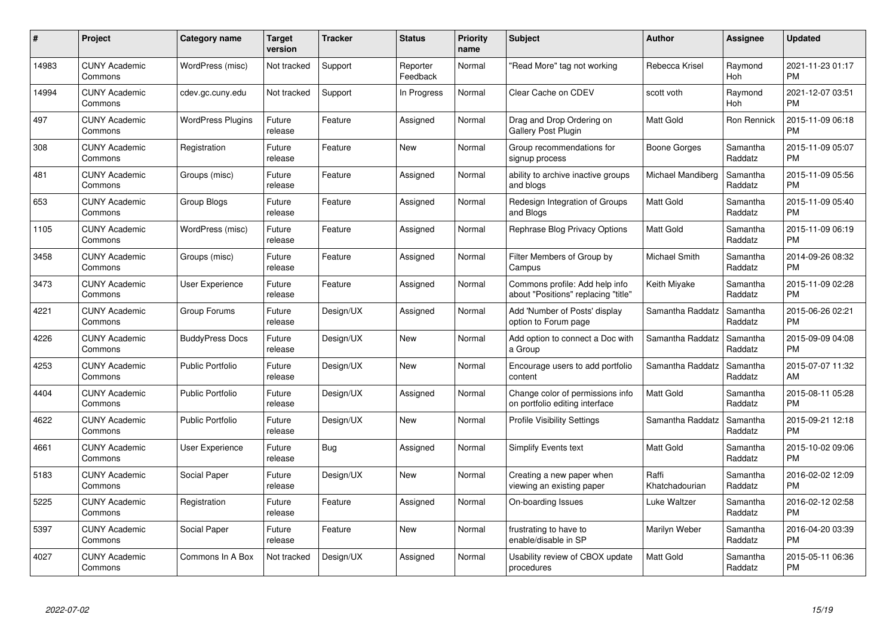| #     | Project                         | <b>Category name</b>     | <b>Target</b><br>version | <b>Tracker</b> | <b>Status</b>        | Priority<br>name | <b>Subject</b>                                                        | <b>Author</b>           | <b>Assignee</b>     | <b>Updated</b>                |
|-------|---------------------------------|--------------------------|--------------------------|----------------|----------------------|------------------|-----------------------------------------------------------------------|-------------------------|---------------------|-------------------------------|
| 14983 | <b>CUNY Academic</b><br>Commons | WordPress (misc)         | Not tracked              | Support        | Reporter<br>Feedback | Normal           | "Read More" tag not working                                           | Rebecca Krisel          | Raymond<br>Hoh      | 2021-11-23 01:17<br><b>PM</b> |
| 14994 | <b>CUNY Academic</b><br>Commons | cdev.gc.cuny.edu         | Not tracked              | Support        | In Progress          | Normal           | Clear Cache on CDEV                                                   | scott voth              | Raymond<br>Hoh      | 2021-12-07 03:51<br><b>PM</b> |
| 497   | <b>CUNY Academic</b><br>Commons | <b>WordPress Plugins</b> | Future<br>release        | Feature        | Assigned             | Normal           | Drag and Drop Ordering on<br><b>Gallery Post Plugin</b>               | Matt Gold               | Ron Rennick         | 2015-11-09 06:18<br><b>PM</b> |
| 308   | <b>CUNY Academic</b><br>Commons | Registration             | Future<br>release        | Feature        | <b>New</b>           | Normal           | Group recommendations for<br>signup process                           | Boone Gorges            | Samantha<br>Raddatz | 2015-11-09 05:07<br><b>PM</b> |
| 481   | <b>CUNY Academic</b><br>Commons | Groups (misc)            | Future<br>release        | Feature        | Assigned             | Normal           | ability to archive inactive groups<br>and blogs                       | Michael Mandiberg       | Samantha<br>Raddatz | 2015-11-09 05:56<br><b>PM</b> |
| 653   | <b>CUNY Academic</b><br>Commons | Group Blogs              | Future<br>release        | Feature        | Assigned             | Normal           | Redesign Integration of Groups<br>and Blogs                           | <b>Matt Gold</b>        | Samantha<br>Raddatz | 2015-11-09 05:40<br><b>PM</b> |
| 1105  | <b>CUNY Academic</b><br>Commons | WordPress (misc)         | Future<br>release        | Feature        | Assigned             | Normal           | Rephrase Blog Privacy Options                                         | Matt Gold               | Samantha<br>Raddatz | 2015-11-09 06:19<br><b>PM</b> |
| 3458  | <b>CUNY Academic</b><br>Commons | Groups (misc)            | Future<br>release        | Feature        | Assigned             | Normal           | Filter Members of Group by<br>Campus                                  | Michael Smith           | Samantha<br>Raddatz | 2014-09-26 08:32<br><b>PM</b> |
| 3473  | <b>CUNY Academic</b><br>Commons | User Experience          | Future<br>release        | Feature        | Assigned             | Normal           | Commons profile: Add help info<br>about "Positions" replacing "title" | Keith Miyake            | Samantha<br>Raddatz | 2015-11-09 02:28<br><b>PM</b> |
| 4221  | <b>CUNY Academic</b><br>Commons | Group Forums             | Future<br>release        | Design/UX      | Assigned             | Normal           | Add 'Number of Posts' display<br>option to Forum page                 | Samantha Raddatz        | Samantha<br>Raddatz | 2015-06-26 02:21<br><b>PM</b> |
| 4226  | <b>CUNY Academic</b><br>Commons | <b>BuddyPress Docs</b>   | Future<br>release        | Design/UX      | New                  | Normal           | Add option to connect a Doc with<br>a Group                           | Samantha Raddatz        | Samantha<br>Raddatz | 2015-09-09 04:08<br><b>PM</b> |
| 4253  | <b>CUNY Academic</b><br>Commons | <b>Public Portfolio</b>  | Future<br>release        | Design/UX      | <b>New</b>           | Normal           | Encourage users to add portfolio<br>content                           | Samantha Raddatz        | Samantha<br>Raddatz | 2015-07-07 11:32<br>AM        |
| 4404  | <b>CUNY Academic</b><br>Commons | Public Portfolio         | Future<br>release        | Design/UX      | Assigned             | Normal           | Change color of permissions info<br>on portfolio editing interface    | <b>Matt Gold</b>        | Samantha<br>Raddatz | 2015-08-11 05:28<br><b>PM</b> |
| 4622  | <b>CUNY Academic</b><br>Commons | <b>Public Portfolio</b>  | Future<br>release        | Design/UX      | New                  | Normal           | <b>Profile Visibility Settings</b>                                    | Samantha Raddatz        | Samantha<br>Raddatz | 2015-09-21 12:18<br><b>PM</b> |
| 4661  | <b>CUNY Academic</b><br>Commons | User Experience          | Future<br>release        | Bug            | Assigned             | Normal           | Simplify Events text                                                  | Matt Gold               | Samantha<br>Raddatz | 2015-10-02 09:06<br><b>PM</b> |
| 5183  | <b>CUNY Academic</b><br>Commons | Social Paper             | Future<br>release        | Design/UX      | New                  | Normal           | Creating a new paper when<br>viewing an existing paper                | Raffi<br>Khatchadourian | Samantha<br>Raddatz | 2016-02-02 12:09<br><b>PM</b> |
| 5225  | <b>CUNY Academic</b><br>Commons | Registration             | Future<br>release        | Feature        | Assigned             | Normal           | On-boarding Issues                                                    | Luke Waltzer            | Samantha<br>Raddatz | 2016-02-12 02:58<br><b>PM</b> |
| 5397  | <b>CUNY Academic</b><br>Commons | Social Paper             | Future<br>release        | Feature        | New                  | Normal           | frustrating to have to<br>enable/disable in SP                        | Marilyn Weber           | Samantha<br>Raddatz | 2016-04-20 03:39<br><b>PM</b> |
| 4027  | CUNY Academic<br>Commons        | Commons In A Box         | Not tracked              | Design/UX      | Assigned             | Normal           | Usability review of CBOX update<br>procedures                         | <b>Matt Gold</b>        | Samantha<br>Raddatz | 2015-05-11 06:36<br><b>PM</b> |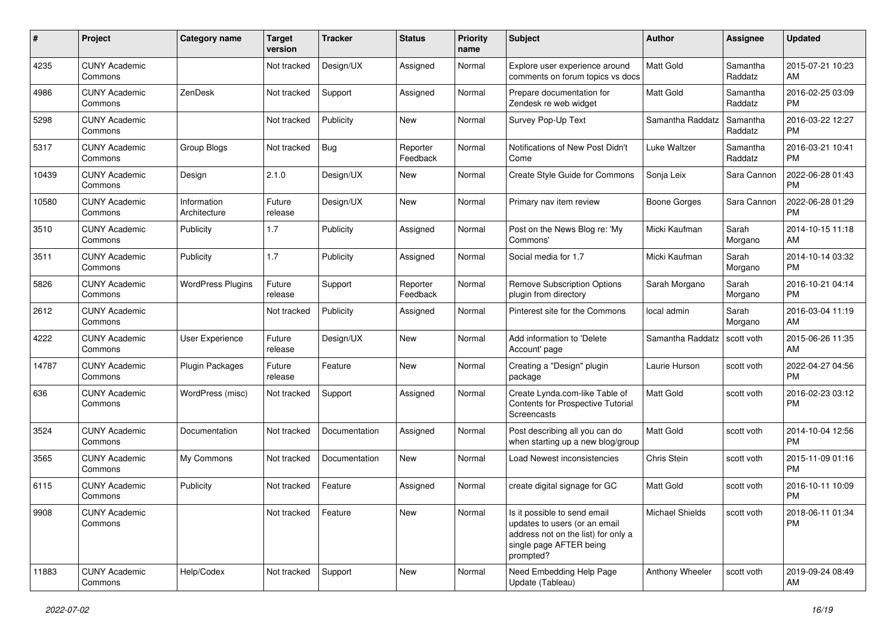| #     | Project                         | Category name               | <b>Target</b><br>version | Tracker       | <b>Status</b>        | Priority<br>name | <b>Subject</b>                                                                                                                               | Author              | <b>Assignee</b>     | <b>Updated</b>                |
|-------|---------------------------------|-----------------------------|--------------------------|---------------|----------------------|------------------|----------------------------------------------------------------------------------------------------------------------------------------------|---------------------|---------------------|-------------------------------|
| 4235  | <b>CUNY Academic</b><br>Commons |                             | Not tracked              | Design/UX     | Assigned             | Normal           | Explore user experience around<br>comments on forum topics vs docs                                                                           | Matt Gold           | Samantha<br>Raddatz | 2015-07-21 10:23<br>AM        |
| 4986  | <b>CUNY Academic</b><br>Commons | ZenDesk                     | Not tracked              | Support       | Assigned             | Normal           | Prepare documentation for<br>Zendesk re web widget                                                                                           | Matt Gold           | Samantha<br>Raddatz | 2016-02-25 03:09<br><b>PM</b> |
| 5298  | <b>CUNY Academic</b><br>Commons |                             | Not tracked              | Publicity     | New                  | Normal           | Survey Pop-Up Text                                                                                                                           | Samantha Raddatz    | Samantha<br>Raddatz | 2016-03-22 12:27<br><b>PM</b> |
| 5317  | <b>CUNY Academic</b><br>Commons | <b>Group Blogs</b>          | Not tracked              | Bug           | Reporter<br>Feedback | Normal           | Notifications of New Post Didn't<br>Come                                                                                                     | Luke Waltzer        | Samantha<br>Raddatz | 2016-03-21 10:41<br><b>PM</b> |
| 10439 | <b>CUNY Academic</b><br>Commons | Design                      | 2.1.0                    | Design/UX     | New                  | Normal           | Create Style Guide for Commons                                                                                                               | Sonja Leix          | Sara Cannon         | 2022-06-28 01:43<br><b>PM</b> |
| 10580 | <b>CUNY Academic</b><br>Commons | Information<br>Architecture | Future<br>release        | Design/UX     | New                  | Normal           | Primary nav item review                                                                                                                      | <b>Boone Gorges</b> | Sara Cannon         | 2022-06-28 01:29<br><b>PM</b> |
| 3510  | <b>CUNY Academic</b><br>Commons | Publicity                   | 1.7                      | Publicity     | Assigned             | Normal           | Post on the News Blog re: 'My<br>Commons'                                                                                                    | Micki Kaufman       | Sarah<br>Morgano    | 2014-10-15 11:18<br>AM        |
| 3511  | <b>CUNY Academic</b><br>Commons | Publicity                   | 1.7                      | Publicity     | Assigned             | Normal           | Social media for 1.7                                                                                                                         | Micki Kaufman       | Sarah<br>Morgano    | 2014-10-14 03:32<br><b>PM</b> |
| 5826  | <b>CUNY Academic</b><br>Commons | <b>WordPress Plugins</b>    | Future<br>release        | Support       | Reporter<br>Feedback | Normal           | <b>Remove Subscription Options</b><br>plugin from directory                                                                                  | Sarah Morgano       | Sarah<br>Morgano    | 2016-10-21 04:14<br><b>PM</b> |
| 2612  | <b>CUNY Academic</b><br>Commons |                             | Not tracked              | Publicity     | Assigned             | Normal           | Pinterest site for the Commons                                                                                                               | local admin         | Sarah<br>Morgano    | 2016-03-04 11:19<br>AM        |
| 4222  | <b>CUNY Academic</b><br>Commons | <b>User Experience</b>      | Future<br>release        | Design/UX     | New                  | Normal           | Add information to 'Delete<br>Account' page                                                                                                  | Samantha Raddatz    | scott voth          | 2015-06-26 11:35<br>AM        |
| 14787 | <b>CUNY Academic</b><br>Commons | Plugin Packages             | Future<br>release        | Feature       | New                  | Normal           | Creating a "Design" plugin<br>package                                                                                                        | Laurie Hurson       | scott voth          | 2022-04-27 04:56<br><b>PM</b> |
| 636   | <b>CUNY Academic</b><br>Commons | WordPress (misc)            | Not tracked              | Support       | Assigned             | Normal           | Create Lynda.com-like Table of<br>Contents for Prospective Tutorial<br><b>Screencasts</b>                                                    | <b>Matt Gold</b>    | scott voth          | 2016-02-23 03:12<br><b>PM</b> |
| 3524  | <b>CUNY Academic</b><br>Commons | Documentation               | Not tracked              | Documentation | Assigned             | Normal           | Post describing all you can do<br>when starting up a new blog/group                                                                          | Matt Gold           | scott voth          | 2014-10-04 12:56<br><b>PM</b> |
| 3565  | <b>CUNY Academic</b><br>Commons | My Commons                  | Not tracked              | Documentation | <b>New</b>           | Normal           | Load Newest inconsistencies                                                                                                                  | Chris Stein         | scott voth          | 2015-11-09 01:16<br><b>PM</b> |
| 6115  | <b>CUNY Academic</b><br>Commons | Publicity                   | Not tracked              | Feature       | Assigned             | Normal           | create digital signage for GC                                                                                                                | <b>Matt Gold</b>    | scott voth          | 2016-10-11 10:09<br><b>PM</b> |
| 9908  | <b>CUNY Academic</b><br>Commons |                             | Not tracked              | Feature       | New                  | Normal           | Is it possible to send email<br>updates to users (or an email<br>address not on the list) for only a<br>single page AFTER being<br>prompted? | Michael Shields     | scott voth          | 2018-06-11 01:34<br><b>PM</b> |
| 11883 | <b>CUNY Academic</b><br>Commons | Help/Codex                  | Not tracked              | Support       | New                  | Normal           | Need Embedding Help Page<br>Update (Tableau)                                                                                                 | Anthony Wheeler     | scott voth          | 2019-09-24 08:49<br>AM        |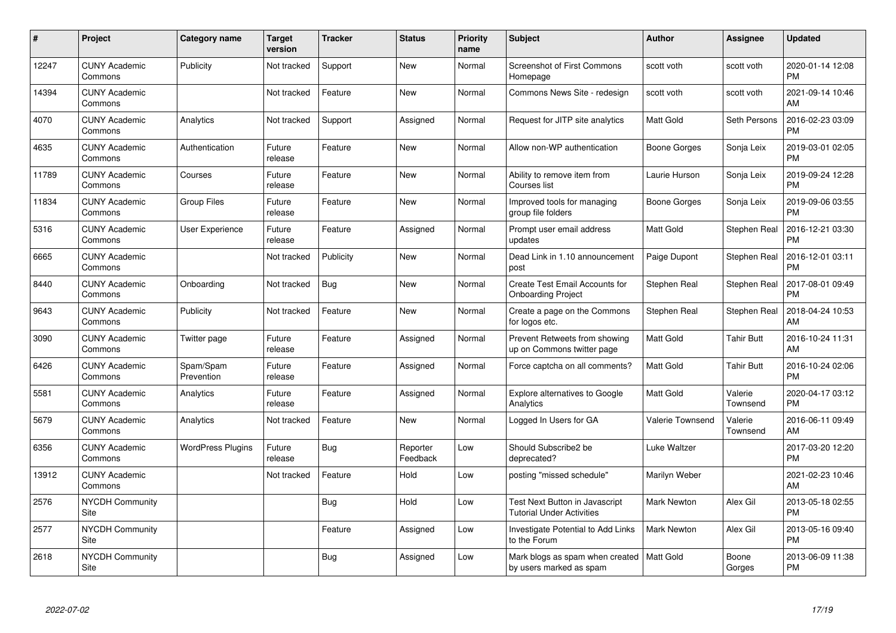| #     | Project                         | <b>Category name</b>     | <b>Target</b><br>version | <b>Tracker</b> | <b>Status</b>        | <b>Priority</b><br>name | <b>Subject</b>                                                     | <b>Author</b>           | Assignee            | <b>Updated</b>                |
|-------|---------------------------------|--------------------------|--------------------------|----------------|----------------------|-------------------------|--------------------------------------------------------------------|-------------------------|---------------------|-------------------------------|
| 12247 | <b>CUNY Academic</b><br>Commons | Publicity                | Not tracked              | Support        | <b>New</b>           | Normal                  | Screenshot of First Commons<br>Homepage                            | scott voth              | scott voth          | 2020-01-14 12:08<br><b>PM</b> |
| 14394 | <b>CUNY Academic</b><br>Commons |                          | Not tracked              | Feature        | <b>New</b>           | Normal                  | Commons News Site - redesign                                       | scott voth              | scott voth          | 2021-09-14 10:46<br>AM        |
| 4070  | <b>CUNY Academic</b><br>Commons | Analytics                | Not tracked              | Support        | Assigned             | Normal                  | Request for JITP site analytics                                    | <b>Matt Gold</b>        | Seth Persons        | 2016-02-23 03:09<br><b>PM</b> |
| 4635  | <b>CUNY Academic</b><br>Commons | Authentication           | Future<br>release        | Feature        | <b>New</b>           | Normal                  | Allow non-WP authentication                                        | Boone Gorges            | Sonja Leix          | 2019-03-01 02:05<br><b>PM</b> |
| 11789 | <b>CUNY Academic</b><br>Commons | Courses                  | Future<br>release        | Feature        | <b>New</b>           | Normal                  | Ability to remove item from<br>Courses list                        | Laurie Hurson           | Sonja Leix          | 2019-09-24 12:28<br><b>PM</b> |
| 11834 | <b>CUNY Academic</b><br>Commons | <b>Group Files</b>       | Future<br>release        | Feature        | <b>New</b>           | Normal                  | Improved tools for managing<br>group file folders                  | Boone Gorges            | Sonja Leix          | 2019-09-06 03:55<br><b>PM</b> |
| 5316  | <b>CUNY Academic</b><br>Commons | <b>User Experience</b>   | Future<br>release        | Feature        | Assigned             | Normal                  | Prompt user email address<br>updates                               | <b>Matt Gold</b>        | Stephen Real        | 2016-12-21 03:30<br><b>PM</b> |
| 6665  | <b>CUNY Academic</b><br>Commons |                          | Not tracked              | Publicity      | New                  | Normal                  | Dead Link in 1.10 announcement<br>post                             | Paige Dupont            | Stephen Real        | 2016-12-01 03:11<br><b>PM</b> |
| 8440  | <b>CUNY Academic</b><br>Commons | Onboarding               | Not tracked              | Bug            | <b>New</b>           | Normal                  | Create Test Email Accounts for<br><b>Onboarding Project</b>        | Stephen Real            | Stephen Real        | 2017-08-01 09:49<br><b>PM</b> |
| 9643  | <b>CUNY Academic</b><br>Commons | Publicity                | Not tracked              | Feature        | <b>New</b>           | Normal                  | Create a page on the Commons<br>for logos etc.                     | Stephen Real            | Stephen Real        | 2018-04-24 10:53<br>AM        |
| 3090  | <b>CUNY Academic</b><br>Commons | Twitter page             | Future<br>release        | Feature        | Assigned             | Normal                  | Prevent Retweets from showing<br>up on Commons twitter page        | <b>Matt Gold</b>        | Tahir Butt          | 2016-10-24 11:31<br>AM        |
| 6426  | <b>CUNY Academic</b><br>Commons | Spam/Spam<br>Prevention  | Future<br>release        | Feature        | Assigned             | Normal                  | Force captcha on all comments?                                     | Matt Gold               | <b>Tahir Butt</b>   | 2016-10-24 02:06<br><b>PM</b> |
| 5581  | <b>CUNY Academic</b><br>Commons | Analytics                | Future<br>release        | Feature        | Assigned             | Normal                  | Explore alternatives to Google<br>Analytics                        | <b>Matt Gold</b>        | Valerie<br>Townsend | 2020-04-17 03:12<br><b>PM</b> |
| 5679  | <b>CUNY Academic</b><br>Commons | Analytics                | Not tracked              | Feature        | New                  | Normal                  | Logged In Users for GA                                             | <b>Valerie Townsend</b> | Valerie<br>Townsend | 2016-06-11 09:49<br>AM        |
| 6356  | <b>CUNY Academic</b><br>Commons | <b>WordPress Plugins</b> | Future<br>release        | Bug            | Reporter<br>Feedback | Low                     | Should Subscribe2 be<br>deprecated?                                | Luke Waltzer            |                     | 2017-03-20 12:20<br><b>PM</b> |
| 13912 | <b>CUNY Academic</b><br>Commons |                          | Not tracked              | Feature        | Hold                 | Low                     | posting "missed schedule"                                          | Marilyn Weber           |                     | 2021-02-23 10:46<br>AM        |
| 2576  | <b>NYCDH Community</b><br>Site  |                          |                          | Bug            | Hold                 | Low                     | Test Next Button in Javascript<br><b>Tutorial Under Activities</b> | <b>Mark Newton</b>      | Alex Gil            | 2013-05-18 02:55<br><b>PM</b> |
| 2577  | <b>NYCDH Community</b><br>Site  |                          |                          | Feature        | Assigned             | Low                     | Investigate Potential to Add Links<br>to the Forum                 | <b>Mark Newton</b>      | Alex Gil            | 2013-05-16 09:40<br><b>PM</b> |
| 2618  | NYCDH Community<br>Site         |                          |                          | Bug            | Assigned             | Low                     | Mark blogs as spam when created<br>by users marked as spam         | <b>Matt Gold</b>        | Boone<br>Gorges     | 2013-06-09 11:38<br><b>PM</b> |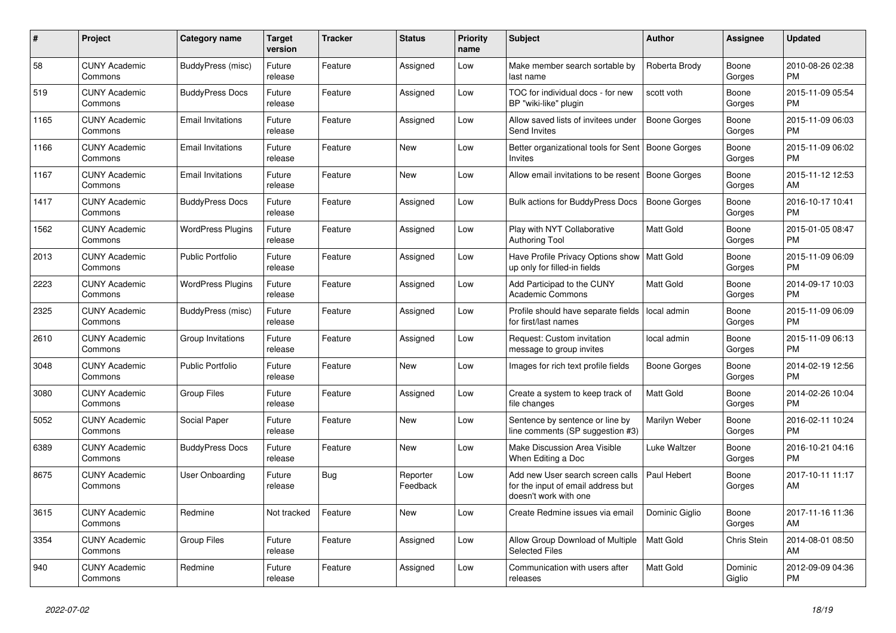| $\pmb{\#}$ | Project                         | <b>Category name</b>     | <b>Target</b><br>version | Tracker    | <b>Status</b>        | <b>Priority</b><br>name | <b>Subject</b>                                                                                  | <b>Author</b>       | Assignee           | <b>Updated</b>                |
|------------|---------------------------------|--------------------------|--------------------------|------------|----------------------|-------------------------|-------------------------------------------------------------------------------------------------|---------------------|--------------------|-------------------------------|
| 58         | <b>CUNY Academic</b><br>Commons | BuddyPress (misc)        | Future<br>release        | Feature    | Assigned             | Low                     | Make member search sortable by<br>last name                                                     | Roberta Brody       | Boone<br>Gorges    | 2010-08-26 02:38<br><b>PM</b> |
| 519        | <b>CUNY Academic</b><br>Commons | <b>BuddyPress Docs</b>   | Future<br>release        | Feature    | Assigned             | Low                     | TOC for individual docs - for new<br>BP "wiki-like" plugin                                      | scott voth          | Boone<br>Gorges    | 2015-11-09 05:54<br><b>PM</b> |
| 1165       | <b>CUNY Academic</b><br>Commons | <b>Email Invitations</b> | Future<br>release        | Feature    | Assigned             | Low                     | Allow saved lists of invitees under<br><b>Send Invites</b>                                      | Boone Gorges        | Boone<br>Gorges    | 2015-11-09 06:03<br><b>PM</b> |
| 1166       | <b>CUNY Academic</b><br>Commons | <b>Email Invitations</b> | Future<br>release        | Feature    | <b>New</b>           | Low                     | Better organizational tools for Sent   Boone Gorges<br>Invites                                  |                     | Boone<br>Gorges    | 2015-11-09 06:02<br><b>PM</b> |
| 1167       | <b>CUNY Academic</b><br>Commons | <b>Email Invitations</b> | Future<br>release        | Feature    | New                  | Low                     | Allow email invitations to be resent                                                            | Boone Gorges        | Boone<br>Gorges    | 2015-11-12 12:53<br>AM        |
| 1417       | <b>CUNY Academic</b><br>Commons | <b>BuddyPress Docs</b>   | Future<br>release        | Feature    | Assigned             | Low                     | Bulk actions for BuddyPress Docs                                                                | <b>Boone Gorges</b> | Boone<br>Gorges    | 2016-10-17 10:41<br><b>PM</b> |
| 1562       | <b>CUNY Academic</b><br>Commons | <b>WordPress Plugins</b> | Future<br>release        | Feature    | Assigned             | Low                     | Play with NYT Collaborative<br><b>Authoring Tool</b>                                            | Matt Gold           | Boone<br>Gorges    | 2015-01-05 08:47<br><b>PM</b> |
| 2013       | <b>CUNY Academic</b><br>Commons | <b>Public Portfolio</b>  | Future<br>release        | Feature    | Assigned             | Low                     | Have Profile Privacy Options show<br>up only for filled-in fields                               | Matt Gold           | Boone<br>Gorges    | 2015-11-09 06:09<br><b>PM</b> |
| 2223       | <b>CUNY Academic</b><br>Commons | <b>WordPress Plugins</b> | Future<br>release        | Feature    | Assigned             | Low                     | Add Participad to the CUNY<br><b>Academic Commons</b>                                           | Matt Gold           | Boone<br>Gorges    | 2014-09-17 10:03<br><b>PM</b> |
| 2325       | <b>CUNY Academic</b><br>Commons | BuddyPress (misc)        | Future<br>release        | Feature    | Assigned             | Low                     | Profile should have separate fields   local admin<br>for first/last names                       |                     | Boone<br>Gorges    | 2015-11-09 06:09<br><b>PM</b> |
| 2610       | <b>CUNY Academic</b><br>Commons | Group Invitations        | Future<br>release        | Feature    | Assigned             | Low                     | Request: Custom invitation<br>message to group invites                                          | local admin         | Boone<br>Gorges    | 2015-11-09 06:13<br><b>PM</b> |
| 3048       | <b>CUNY Academic</b><br>Commons | <b>Public Portfolio</b>  | Future<br>release        | Feature    | New                  | Low                     | Images for rich text profile fields                                                             | Boone Gorges        | Boone<br>Gorges    | 2014-02-19 12:56<br><b>PM</b> |
| 3080       | <b>CUNY Academic</b><br>Commons | <b>Group Files</b>       | Future<br>release        | Feature    | Assigned             | Low                     | Create a system to keep track of<br>file changes                                                | <b>Matt Gold</b>    | Boone<br>Gorges    | 2014-02-26 10:04<br><b>PM</b> |
| 5052       | <b>CUNY Academic</b><br>Commons | Social Paper             | Future<br>release        | Feature    | <b>New</b>           | Low                     | Sentence by sentence or line by<br>line comments (SP suggestion #3)                             | Marilyn Weber       | Boone<br>Gorges    | 2016-02-11 10:24<br><b>PM</b> |
| 6389       | <b>CUNY Academic</b><br>Commons | <b>BuddyPress Docs</b>   | Future<br>release        | Feature    | New                  | Low                     | Make Discussion Area Visible<br>When Editing a Doc                                              | Luke Waltzer        | Boone<br>Gorges    | 2016-10-21 04:16<br><b>PM</b> |
| 8675       | <b>CUNY Academic</b><br>Commons | <b>User Onboarding</b>   | Future<br>release        | <b>Bug</b> | Reporter<br>Feedback | Low                     | Add new User search screen calls<br>for the input of email address but<br>doesn't work with one | Paul Hebert         | Boone<br>Gorges    | 2017-10-11 11:17<br>AM        |
| 3615       | <b>CUNY Academic</b><br>Commons | Redmine                  | Not tracked              | Feature    | <b>New</b>           | Low                     | Create Redmine issues via email                                                                 | Dominic Giglio      | Boone<br>Gorges    | 2017-11-16 11:36<br>AM        |
| 3354       | <b>CUNY Academic</b><br>Commons | <b>Group Files</b>       | Future<br>release        | Feature    | Assigned             | Low                     | Allow Group Download of Multiple<br><b>Selected Files</b>                                       | <b>Matt Gold</b>    | <b>Chris Stein</b> | 2014-08-01 08:50<br>AM        |
| 940        | <b>CUNY Academic</b><br>Commons | Redmine                  | Future<br>release        | Feature    | Assigned             | Low                     | Communication with users after<br>releases                                                      | Matt Gold           | Dominic<br>Giglio  | 2012-09-09 04:36<br><b>PM</b> |